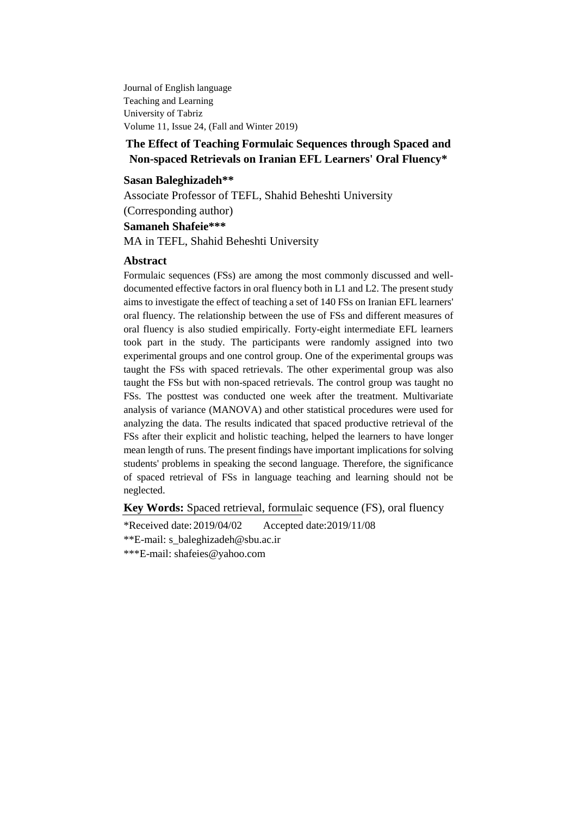Journal of English language Teaching and Learning University of Tabriz Volume 11, Issue 24, (Fall and Winter 2019)

## **The Effect of Teaching Formulaic Sequences through Spaced and Non-spaced Retrievals on Iranian EFL Learners' Oral Fluency\***

### **Sasan Baleghizadeh\*\***

Associate Professor of TEFL, Shahid Beheshti University

(Corresponding author)

## **Samaneh Shafeie\*\*\***

MA in TEFL, Shahid Beheshti University

### **Abstract**

Formulaic sequences (FSs) are among the most commonly discussed and welldocumented effective factors in oral fluency both in L1 and L2. The present study aims to investigate the effect of teaching a set of 140 FSs on Iranian EFL learners' oral fluency. The relationship between the use of FSs and different measures of oral fluency is also studied empirically. Forty-eight intermediate EFL learners took part in the study. The participants were randomly assigned into two experimental groups and one control group. One of the experimental groups was taught the FSs with spaced retrievals. The other experimental group was also taught the FSs but with non-spaced retrievals. The control group was taught no FSs. The posttest was conducted one week after the treatment. Multivariate analysis of variance (MANOVA) and other statistical procedures were used for analyzing the data. The results indicated that spaced productive retrieval of the FSs after their explicit and holistic teaching, helped the learners to have longer mean length of runs. The present findings have important implications for solving students' problems in speaking the second language. Therefore, the significance of spaced retrieval of FSs in language teaching and learning should not be neglected.

**Key Words:** Spaced retrieval, formulaic sequence (FS), oral fluency

\*Received date: 2019/04/02 Accepted date:2019/11/08

\*\*E-mail: [s\\_baleghizadeh@sbu.ac.ir](mailto:s_baleghizadeh@sbu.ac.ir)

\*\*\*E-mail: shafeies@yahoo.com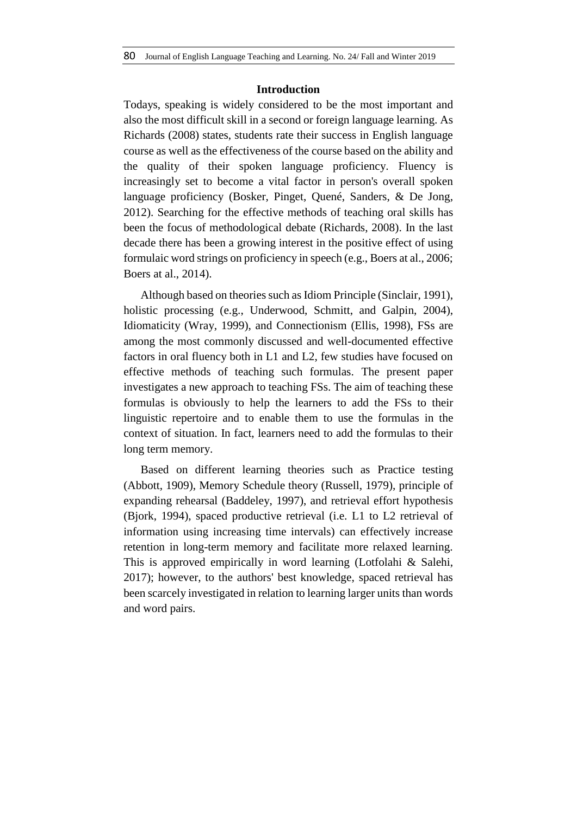## **Introduction**

Todays, speaking is widely considered to be the most important and also the most difficult skill in a second or foreign language learning. As Richards (2008) states, students rate their success in English language course as well as the effectiveness of the course based on the ability and the quality of their spoken language proficiency. Fluency is increasingly set to become a vital factor in person's overall spoken language proficiency (Bosker, Pinget, Quené, Sanders, & De Jong, 2012). Searching for the effective methods of teaching oral skills has been the focus of methodological debate (Richards, 2008). In the last decade there has been a growing interest in the positive effect of using formulaic word strings on proficiency in speech (e.g., Boers at al., 2006; Boers at al., 2014).

Although based on theories such as Idiom Principle (Sinclair, 1991), holistic processing (e.g., Underwood, Schmitt, and Galpin, 2004), Idiomaticity (Wray, 1999), and Connectionism (Ellis, 1998), FSs are among the most commonly discussed and well-documented effective factors in oral fluency both in L1 and L2, few studies have focused on effective methods of teaching such formulas. The present paper investigates a new approach to teaching FSs. The aim of teaching these formulas is obviously to help the learners to add the FSs to their linguistic repertoire and to enable them to use the formulas in the context of situation. In fact, learners need to add the formulas to their long term memory.

Based on different learning theories such as Practice testing (Abbott, 1909), Memory Schedule theory (Russell, 1979), principle of expanding rehearsal (Baddeley, 1997), and retrieval effort hypothesis (Bjork, 1994), spaced productive retrieval (i.e. L1 to L2 retrieval of information using increasing time intervals) can effectively increase retention in long-term memory and facilitate more relaxed learning. This is approved empirically in word learning (Lotfolahi & Salehi, 2017); however, to the authors' best knowledge, spaced retrieval has been scarcely investigated in relation to learning larger units than words and word pairs.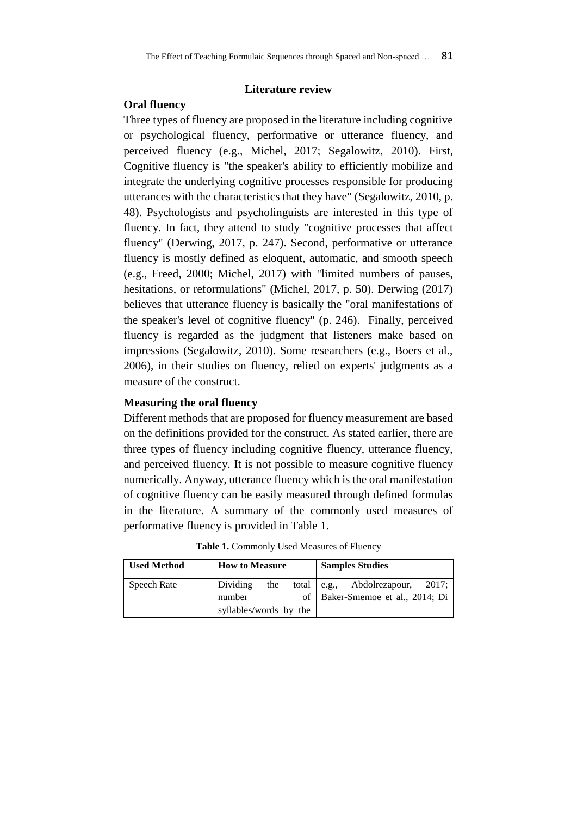## **Literature review**

## **Oral fluency**

Three types of fluency are proposed in the literature including cognitive or psychological fluency, performative or utterance fluency, and perceived fluency (e.g., Michel, 2017; Segalowitz, 2010). First, Cognitive fluency is "the speaker's ability to efficiently mobilize and integrate the underlying cognitive processes responsible for producing utterances with the characteristics that they have" (Segalowitz, 2010, p. 48). Psychologists and psycholinguists are interested in this type of fluency. In fact, they attend to study "cognitive processes that affect fluency" (Derwing, 2017, p. 247). Second, performative or utterance fluency is mostly defined as eloquent, automatic, and smooth speech (e.g., Freed, 2000; Michel, 2017) with "limited numbers of pauses, hesitations, or reformulations" (Michel, 2017, p. 50). Derwing (2017) believes that utterance fluency is basically the "oral manifestations of the speaker's level of cognitive fluency" (p. 246). Finally, perceived fluency is regarded as the judgment that listeners make based on impressions (Segalowitz, 2010). Some researchers (e.g., Boers et al., 2006), in their studies on fluency, relied on experts' judgments as a measure of the construct.

## **Measuring the oral fluency**

Different methods that are proposed for fluency measurement are based on the definitions provided for the construct. As stated earlier, there are three types of fluency including cognitive fluency, utterance fluency, and perceived fluency. It is not possible to measure cognitive fluency numerically. Anyway, utterance fluency which is the oral manifestation of cognitive fluency can be easily measured through defined formulas in the literature. A summary of the commonly used measures of performative fluency is provided in Table 1.

| <b>Used Method</b> | <b>How to Measure</b>  |     |  | <b>Samples Studies</b>             |       |
|--------------------|------------------------|-----|--|------------------------------------|-------|
| Speech Rate        | Dividing               | the |  | total $\vert$ e.g., Abdolrezapour, | 2017: |
|                    | number                 |     |  | of   Baker-Smemoe et al., 2014; Di |       |
|                    | syllables/words by the |     |  |                                    |       |

**Table 1.** Commonly Used Measures of Fluency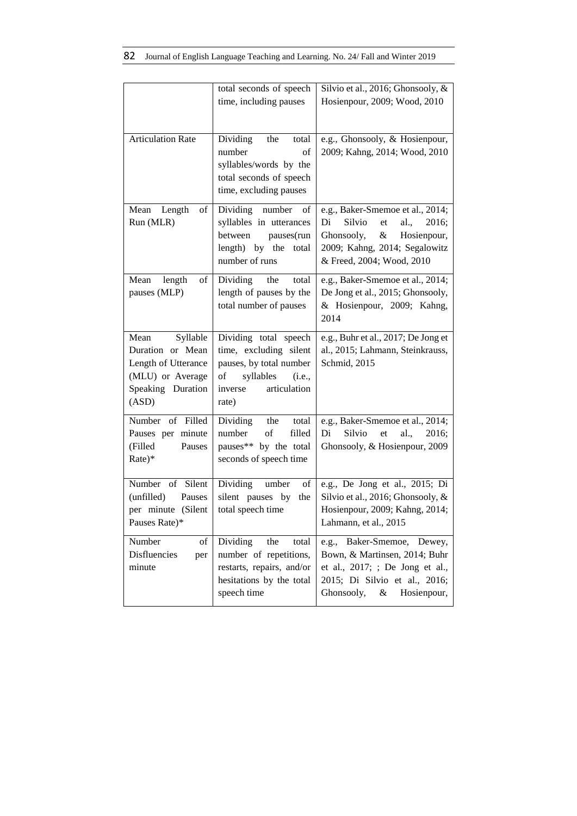|                                                                                                               | total seconds of speech<br>time, including pauses                                                                                           | Silvio et al., 2016; Ghonsooly, &<br>Hosienpour, 2009; Wood, 2010                                                                                                                  |
|---------------------------------------------------------------------------------------------------------------|---------------------------------------------------------------------------------------------------------------------------------------------|------------------------------------------------------------------------------------------------------------------------------------------------------------------------------------|
| <b>Articulation Rate</b>                                                                                      | Dividing<br>the<br>total<br>number<br>of<br>syllables/words by the<br>total seconds of speech<br>time, excluding pauses                     | e.g., Ghonsooly, & Hosienpour,<br>2009; Kahng, 2014; Wood, 2010                                                                                                                    |
| Mean<br>Length<br>of<br>Run (MLR)                                                                             | Dividing number<br>of<br>syllables in utterances<br>between<br>pauses(run<br>length) by the total<br>number of runs                         | e.g., Baker-Smemoe et al., 2014;<br>Di<br>Silvio<br>al.,<br>2016;<br>${\it et}$<br>$\&$<br>Ghonsooly,<br>Hosienpour,<br>2009; Kahng, 2014; Segalowitz<br>& Freed, 2004; Wood, 2010 |
| Mean<br>length<br>of<br>pauses (MLP)                                                                          | Dividing the<br>total<br>length of pauses by the<br>total number of pauses                                                                  | e.g., Baker-Smemoe et al., 2014;<br>De Jong et al., 2015; Ghonsooly,<br>& Hosienpour, 2009; Kahng,<br>2014                                                                         |
| Syllable<br>Mean<br>Duration or Mean<br>Length of Utterance<br>(MLU) or Average<br>Speaking Duration<br>(ASD) | Dividing total speech<br>time, excluding silent<br>pauses, by total number<br>syllables<br>of<br>(i.e.,<br>articulation<br>inverse<br>rate) | e.g., Buhr et al., 2017; De Jong et<br>al., 2015; Lahmann, Steinkrauss,<br>Schmid, 2015                                                                                            |
| Number of Filled<br>Pauses per minute<br>(Filled<br>Pauses<br>Rate)*                                          | Dividing<br>total<br>the<br>number<br>of<br>filled<br>pauses** by the total<br>seconds of speech time                                       | e.g., Baker-Smemoe et al., 2014;<br>Silvio<br>Di<br>et<br>al.,<br>2016;<br>Ghonsooly, & Hosienpour, 2009                                                                           |
| Number of Silent<br>(unfilled)<br>Pauses<br>per minute (Silent<br>Pauses Rate)*                               | Dividing umber<br>of<br>silent pauses by<br>the<br>total speech time                                                                        | e.g., De Jong et al., 2015; Di<br>Silvio et al., 2016; Ghonsooly, &<br>Hosienpour, 2009; Kahng, 2014;<br>Lahmann, et al., 2015                                                     |
| Number<br>of<br>Disfluencies<br>per<br>minute                                                                 | Dividing<br>the<br>total<br>number of repetitions,<br>restarts, repairs, and/or<br>hesitations by the total<br>speech time                  | e.g., Baker-Smemoe, Dewey,<br>Bown, & Martinsen, 2014; Buhr<br>et al., 2017; ; De Jong et al.,<br>2015; Di Silvio et al., 2016;<br>Ghonsooly,<br>&<br>Hosienpour,                  |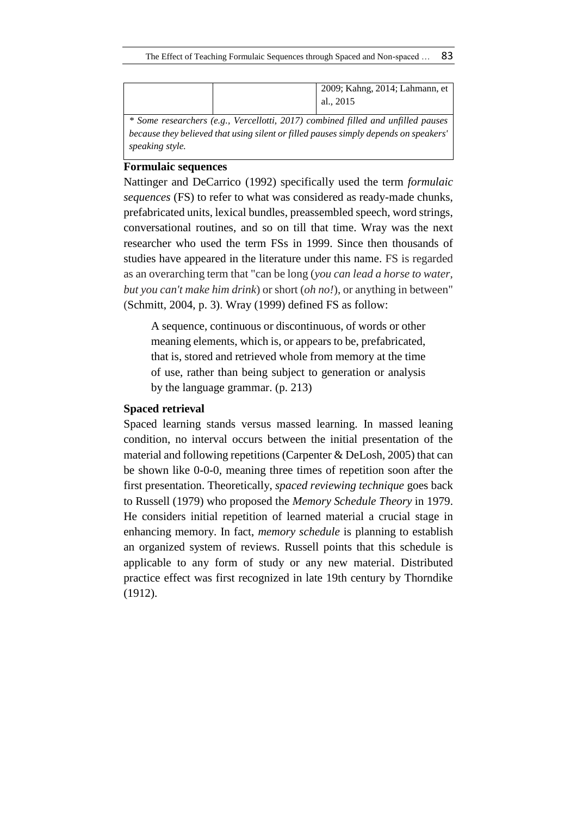|  | 2009; Kahng, 2014; Lahmann, et<br>al., 2015                                      |
|--|----------------------------------------------------------------------------------|
|  | * Some researchers (e.g., Vercellotti, 2017) combined filled and unfilled pauses |

*because they believed that using silent or filled pauses simply depends on speakers' speaking style.*

## **Formulaic sequences**

Nattinger and DeCarrico (1992) specifically used the term *formulaic sequences* (FS) to refer to what was considered as ready-made chunks, prefabricated units, lexical bundles, preassembled speech, word strings, conversational routines, and so on till that time. Wray was the next researcher who used the term FSs in 1999. Since then thousands of studies have appeared in the literature under this name. FS is regarded as an overarching term that "can be long (*you can lead a horse to water, but you can't make him drink*) or short (*oh no!*), or anything in between" (Schmitt, 2004, p. 3). Wray (1999) defined FS as follow:

A sequence, continuous or discontinuous, of words or other meaning elements, which is, or appears to be, prefabricated, that is, stored and retrieved whole from memory at the time of use, rather than being subject to generation or analysis by the language grammar. (p. 213)

## **Spaced retrieval**

Spaced learning stands versus massed learning. In massed leaning condition, no interval occurs between the initial presentation of the material and following repetitions (Carpenter & DeLosh, 2005) that can be shown like 0-0-0, meaning three times of repetition soon after the first presentation. Theoretically, *spaced reviewing technique* goes back to Russell (1979) who proposed the *Memory Schedule Theory* in 1979. He considers initial repetition of learned material a crucial stage in enhancing memory. In fact, *memory schedule* is planning to establish an organized system of reviews. Russell points that this schedule is applicable to any form of study or any new material. Distributed practice effect was first recognized in late 19th century by Thorndike (1912).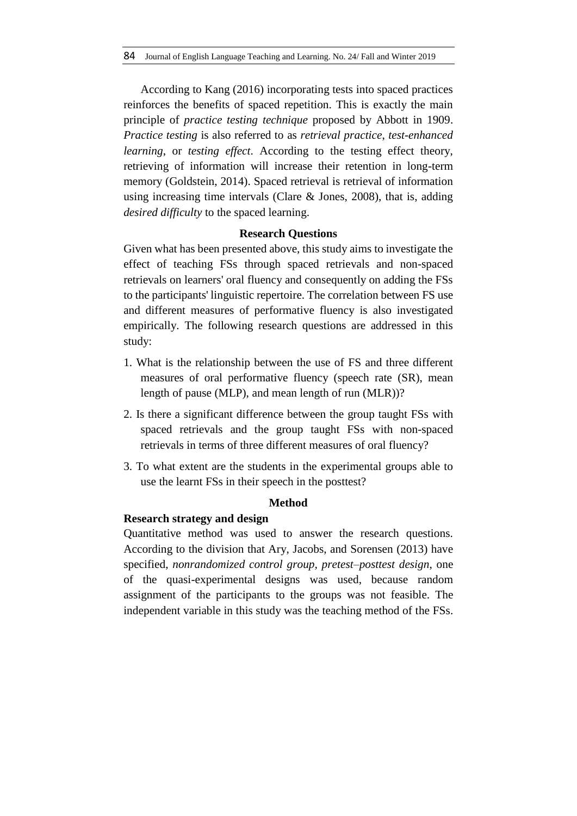According to Kang (2016) incorporating tests into spaced practices reinforces the benefits of spaced repetition. This is exactly the main principle of *practice testing technique* proposed by Abbott in 1909. *Practice testing* is also referred to as *retrieval practice*, *test-enhanced learning*, or *testing effect*. According to the testing effect theory, retrieving of information will increase their retention in long-term memory (Goldstein, 2014). Spaced retrieval is retrieval of information using increasing time intervals (Clare & Jones, 2008), that is, adding *desired difficulty* to the spaced learning.

### **Research Questions**

Given what has been presented above, this study aims to investigate the effect of teaching FSs through spaced retrievals and non-spaced retrievals on learners' oral fluency and consequently on adding the FSs to the participants' linguistic repertoire. The correlation between FS use and different measures of performative fluency is also investigated empirically. The following research questions are addressed in this study:

- 1. What is the relationship between the use of FS and three different measures of oral performative fluency (speech rate (SR), mean length of pause (MLP), and mean length of run (MLR))?
- 2. Is there a significant difference between the group taught FSs with spaced retrievals and the group taught FSs with non-spaced retrievals in terms of three different measures of oral fluency?
- 3. To what extent are the students in the experimental groups able to use the learnt FSs in their speech in the posttest?

### **Method**

## **Research strategy and design**

Quantitative method was used to answer the research questions. According to the division that Ary, Jacobs, and Sorensen (2013) have specified, *nonrandomized control group, pretest–posttest design*, one of the quasi-experimental designs was used, because random assignment of the participants to the groups was not feasible. The independent variable in this study was the teaching method of the FSs.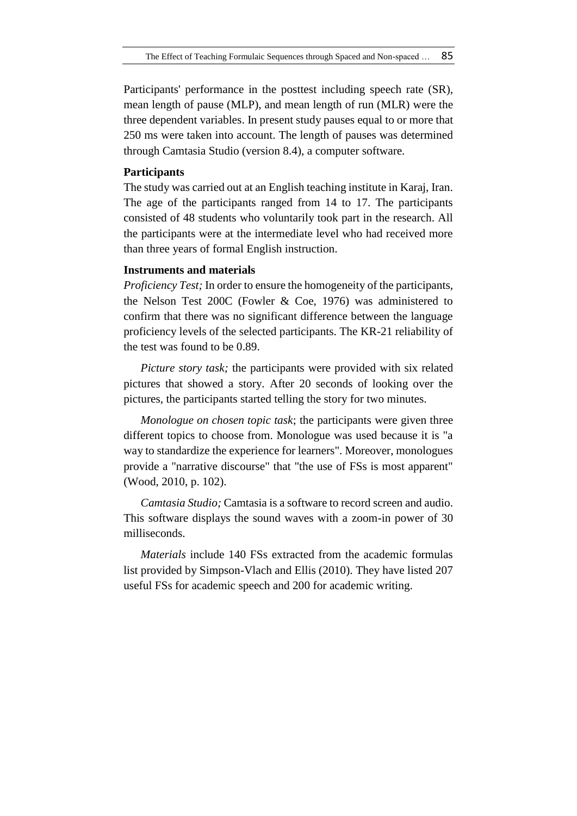Participants' performance in the posttest including speech rate (SR), mean length of pause (MLP), and mean length of run (MLR) were the three dependent variables. In present study pauses equal to or more that 250 ms were taken into account. The length of pauses was determined through Camtasia Studio (version 8.4), a computer software.

### **Participants**

The study was carried out at an English teaching institute in Karaj, Iran. The age of the participants ranged from 14 to 17. The participants consisted of 48 students who voluntarily took part in the research. All the participants were at the intermediate level who had received more than three years of formal English instruction.

## **Instruments and materials**

*Proficiency Test;* In order to ensure the homogeneity of the participants, the Nelson Test 200C (Fowler & Coe, 1976) was administered to confirm that there was no significant difference between the language proficiency levels of the selected participants. The KR-21 reliability of the test was found to be 0.89.

*Picture story task;* the participants were provided with six related pictures that showed a story. After 20 seconds of looking over the pictures, the participants started telling the story for two minutes.

*Monologue on chosen topic task*; the participants were given three different topics to choose from. Monologue was used because it is "a way to standardize the experience for learners". Moreover, monologues provide a "narrative discourse" that "the use of FSs is most apparent" (Wood, 2010, p. 102).

*Camtasia Studio;* Camtasia is a software to record screen and audio. This software displays the sound waves with a zoom-in power of 30 milliseconds.

*Materials* include 140 FSs extracted from the academic formulas list provided by Simpson-Vlach and Ellis (2010). They have listed 207 useful FSs for academic speech and 200 for academic writing.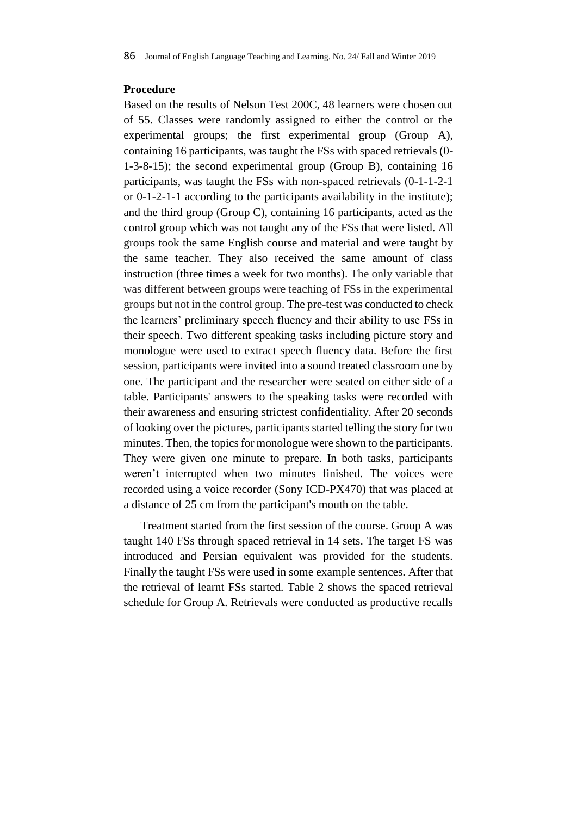## **Procedure**

Based on the results of Nelson Test 200C, 48 learners were chosen out of 55. Classes were randomly assigned to either the control or the experimental groups; the first experimental group (Group A), containing 16 participants, was taught the FSs with spaced retrievals (0- 1-3-8-15); the second experimental group (Group B), containing 16 participants, was taught the FSs with non-spaced retrievals (0-1-1-2-1 or 0-1-2-1-1 according to the participants availability in the institute); and the third group (Group C), containing 16 participants, acted as the control group which was not taught any of the FSs that were listed. All groups took the same English course and material and were taught by the same teacher. They also received the same amount of class instruction (three times a week for two months). The only variable that was different between groups were teaching of FSs in the experimental groups but not in the control group. The pre-test was conducted to check the learners' preliminary speech fluency and their ability to use FSs in their speech. Two different speaking tasks including picture story and monologue were used to extract speech fluency data. Before the first session, participants were invited into a sound treated classroom one by one. The participant and the researcher were seated on either side of a table. Participants' answers to the speaking tasks were recorded with their awareness and ensuring strictest confidentiality. After 20 seconds of looking over the pictures, participants started telling the story for two minutes. Then, the topics for monologue were shown to the participants. They were given one minute to prepare. In both tasks, participants weren't interrupted when two minutes finished. The voices were recorded using a voice recorder (Sony ICD-PX470) that was placed at a distance of 25 cm from the participant's mouth on the table.

Treatment started from the first session of the course. Group A was taught 140 FSs through spaced retrieval in 14 sets. The target FS was introduced and Persian equivalent was provided for the students. Finally the taught FSs were used in some example sentences. After that the retrieval of learnt FSs started. Table 2 shows the spaced retrieval schedule for Group A. Retrievals were conducted as productive recalls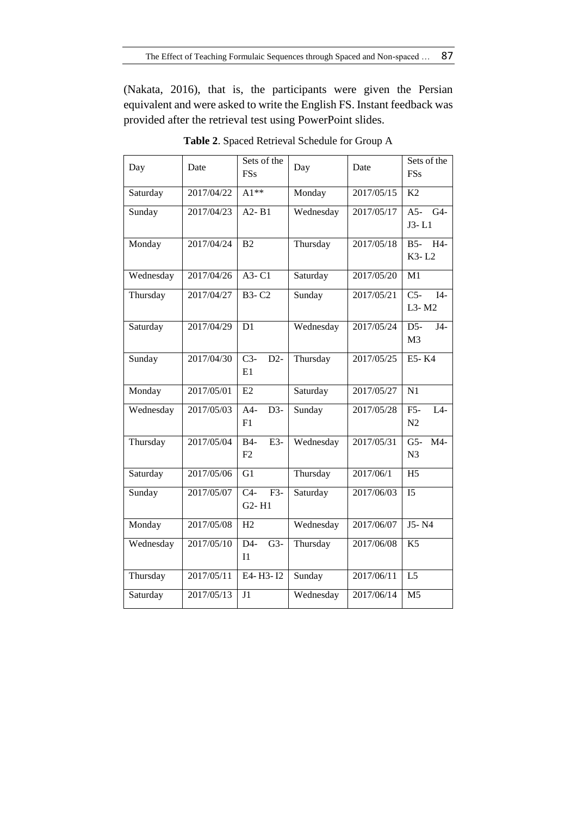(Nakata, 2016), that is, the participants were given the Persian equivalent and were asked to write the English FS. Instant feedback was provided after the retrieval test using PowerPoint slides.

| Day       | Date       | Sets of the<br><b>FSs</b>                                  | Day       | Date       | Sets of the<br><b>FSs</b>                  |
|-----------|------------|------------------------------------------------------------|-----------|------------|--------------------------------------------|
| Saturday  | 2017/04/22 | $A1**$                                                     | Monday    | 2017/05/15 | K2                                         |
| Sunday    | 2017/04/23 | $A2 - B1$                                                  | Wednesday | 2017/05/17 | $A5 - G4$<br>$J3-L1$                       |
| Monday    | 2017/04/24 | B <sub>2</sub>                                             | Thursday  | 2017/05/18 | B5- H4-<br>K3-L2                           |
| Wednesday | 2017/04/26 | A3-C1                                                      | Saturday  | 2017/05/20 | M1                                         |
| Thursday  | 2017/04/27 | <b>B3-C2</b>                                               | Sunday    | 2017/05/21 | $\overline{C5}$<br>$I4-$<br>L3-M2          |
| Saturday  | 2017/04/29 | D1                                                         | Wednesday | 2017/05/24 | $D5-$<br>$J4-$<br>M <sub>3</sub>           |
| Sunday    | 2017/04/30 | $C3-$<br>$D2-$<br>E1                                       | Thursday  | 2017/05/25 | E5-K4                                      |
| Monday    | 2017/05/01 | E2                                                         | Saturday  | 2017/05/27 | N1                                         |
| Wednesday | 2017/05/03 | $A4-$<br>$D3-$<br>F1                                       | Sunday    | 2017/05/28 | $F5-$<br>$L4-$<br>N2                       |
| Thursday  | 2017/05/04 | $E3-$<br>$B4-$<br>F2                                       | Wednesday | 2017/05/31 | $\overline{M4}$<br>$G5-$<br>N <sub>3</sub> |
| Saturday  | 2017/05/06 | G1                                                         | Thursday  | 2017/06/1  | H <sub>5</sub>                             |
| Sunday    | 2017/05/07 | $\overline{C4}$<br>$F3-$<br>G <sub>2</sub> -H <sub>1</sub> | Saturday  | 2017/06/03 | $\overline{15}$                            |
| Monday    | 2017/05/08 | H2                                                         | Wednesday | 2017/06/07 | J5-N4                                      |
| Wednesday | 2017/05/10 | $D4-$<br>$G3-$<br>I1                                       | Thursday  | 2017/06/08 | K <sub>5</sub>                             |
| Thursday  | 2017/05/11 | E4-H3-I2                                                   | Sunday    | 2017/06/11 | $\overline{L5}$                            |
| Saturday  | 2017/05/13 | J <sub>1</sub>                                             | Wednesday | 2017/06/14 | M <sub>5</sub>                             |

**Table 2**. Spaced Retrieval Schedule for Group A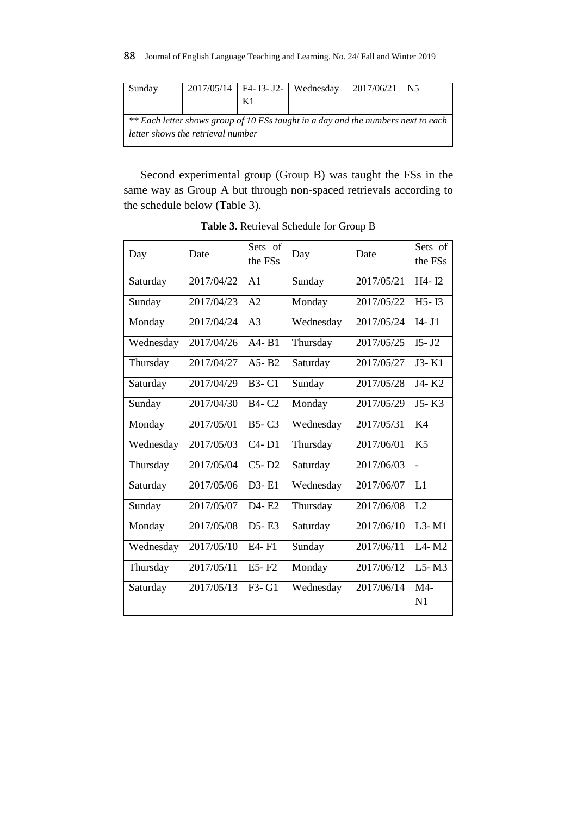88 Journal of English Language Teaching and Learning. No. 24/ Fall and Winter 2019

| Sunday                                                                            |  |  | 2017/05/14   F4- I3- J2-   Wednesday | $2017/06/21$ N5 |  |  |  |  |  |  |
|-----------------------------------------------------------------------------------|--|--|--------------------------------------|-----------------|--|--|--|--|--|--|
|                                                                                   |  |  |                                      |                 |  |  |  |  |  |  |
| ** Each letter shows group of 10 FSs taught in a day and the numbers next to each |  |  |                                      |                 |  |  |  |  |  |  |
| letter shows the retrieval number                                                 |  |  |                                      |                 |  |  |  |  |  |  |

Second experimental group (Group B) was taught the FSs in the same way as Group A but through non-spaced retrievals according to the schedule below (Table 3).

| Day       | Date       | Sets of<br>the FSs | Day       | Date       | Sets of<br>the FSs |
|-----------|------------|--------------------|-----------|------------|--------------------|
| Saturday  | 2017/04/22 | A <sub>1</sub>     | Sunday    | 2017/05/21 | H4-I2              |
| Sunday    | 2017/04/23 | A2                 | Monday    | 2017/05/22 | $H5 - I3$          |
| Monday    | 2017/04/24 | A <sub>3</sub>     | Wednesday | 2017/05/24 | $I4 - J1$          |
| Wednesday | 2017/04/26 | $A4 - B1$          | Thursday  | 2017/05/25 | $I5 - J2$          |
| Thursday  | 2017/04/27 | $A5 - B2$          | Saturday  | 2017/05/27 | J3-K1              |
| Saturday  | 2017/04/29 | <b>B3-C1</b>       | Sunday    | 2017/05/28 | J4-K2              |
| Sunday    | 2017/04/30 | <b>B4-C2</b>       | Monday    | 2017/05/29 | J5-K3              |
| Monday    | 2017/05/01 | $B5-C3$            | Wednesday | 2017/05/31 | K <sub>4</sub>     |
| Wednesday | 2017/05/03 | $C4 - D1$          | Thursday  | 2017/06/01 | K <sub>5</sub>     |
| Thursday  | 2017/05/04 | $C5 - D2$          | Saturday  | 2017/06/03 | $\overline{a}$     |
| Saturday  | 2017/05/06 | $D3 - E1$          | Wednesday | 2017/06/07 | L1                 |
| Sunday    | 2017/05/07 | D4-E2              | Thursday  | 2017/06/08 | L2                 |
| Monday    | 2017/05/08 | $D5 - E3$          | Saturday  | 2017/06/10 | $L3 - M1$          |
| Wednesday | 2017/05/10 | E4-F1              | Sunday    | 2017/06/11 | $L4 - M2$          |
| Thursday  | 2017/05/11 | E5-F2              | Monday    | 2017/06/12 | $L5-M3$            |
| Saturday  | 2017/05/13 | F3- G1             | Wednesday | 2017/06/14 | M4-<br>N1          |

**Table 3.** Retrieval Schedule for Group B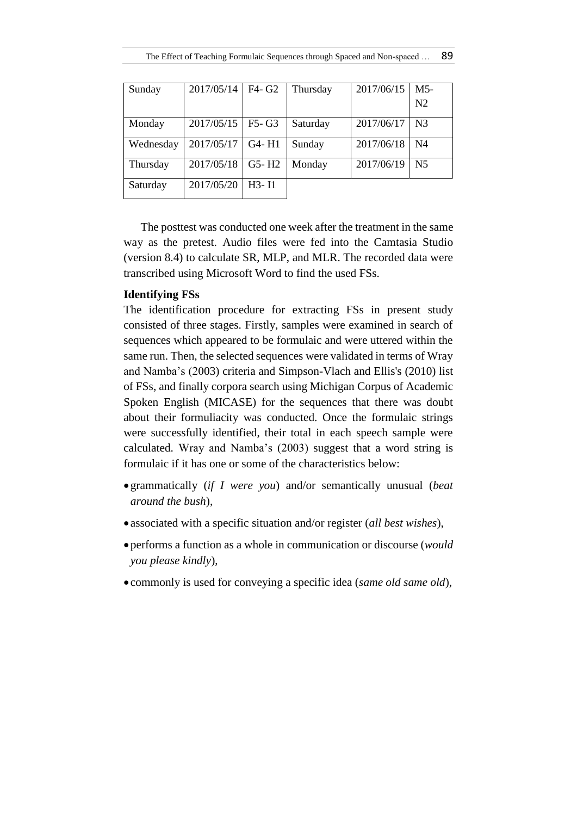| Sunday    | 2017/05/14 | F4- G2    | Thursday | 2017/06/15 | M <sub>5</sub> |
|-----------|------------|-----------|----------|------------|----------------|
|           |            |           |          |            | N <sub>2</sub> |
| Monday    | 2017/05/15 | $F5-G3$   | Saturday | 2017/06/17 | N <sub>3</sub> |
| Wednesday | 2017/05/17 | G4-H1     | Sunday   | 2017/06/18 | N4             |
| Thursday  | 2017/05/18 | $G5 - H2$ | Monday   | 2017/06/19 | N <sub>5</sub> |
| Saturday  | 2017/05/20 | H3- I1    |          |            |                |

The posttest was conducted one week after the treatment in the same way as the pretest. Audio files were fed into the Camtasia Studio (version 8.4) to calculate SR, MLP, and MLR. The recorded data were transcribed using Microsoft Word to find the used FSs.

## **Identifying FSs**

The identification procedure for extracting FSs in present study consisted of three stages. Firstly, samples were examined in search of sequences which appeared to be formulaic and were uttered within the same run. Then, the selected sequences were validated in terms of Wray and Namba's (2003) criteria and Simpson-Vlach and Ellis's (2010) list of FSs, and finally corpora search using Michigan Corpus of Academic Spoken English (MICASE) for the sequences that there was doubt about their formuliacity was conducted. Once the formulaic strings were successfully identified, their total in each speech sample were calculated. Wray and Namba's (2003) suggest that a word string is formulaic if it has one or some of the characteristics below:

- grammatically (*if I were you*) and/or semantically unusual (*beat around the bush*),
- associated with a specific situation and/or register (*all best wishes*),
- performs a function as a whole in communication or discourse (*would you please kindly*),
- commonly is used for conveying a specific idea (*same old same old*),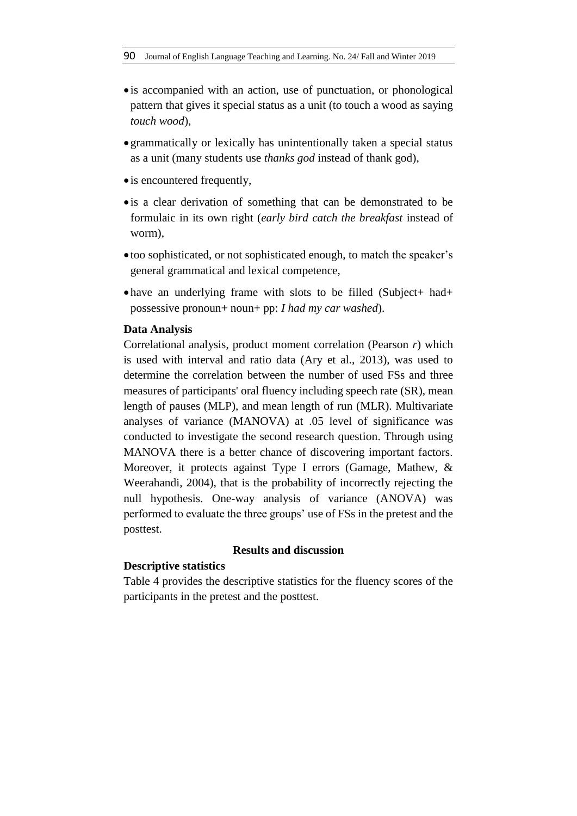- is accompanied with an action, use of punctuation, or phonological pattern that gives it special status as a unit (to touch a wood as saying *touch wood*),
- grammatically or lexically has unintentionally taken a special status as a unit (many students use *thanks god* instead of thank god),
- is encountered frequently,
- is a clear derivation of something that can be demonstrated to be formulaic in its own right (*early bird catch the breakfast* instead of worm),
- too sophisticated, or not sophisticated enough, to match the speaker's general grammatical and lexical competence,
- have an underlying frame with slots to be filled (Subject+ had+ possessive pronoun+ noun+ pp: *I had my car washed*).

### **Data Analysis**

Correlational analysis, product moment correlation (Pearson *r*) which is used with interval and ratio data (Ary et al., 2013), was used to determine the correlation between the number of used FSs and three measures of participants' oral fluency including speech rate (SR), mean length of pauses (MLP), and mean length of run (MLR). Multivariate analyses of variance (MANOVA) at .05 level of significance was conducted to investigate the second research question. Through using MANOVA there is a better chance of discovering important factors. Moreover, it protects against Type I errors (Gamage, Mathew, & Weerahandi, 2004), that is the probability of incorrectly rejecting the null hypothesis. One-way analysis of variance (ANOVA) was performed to evaluate the three groups' use of FSs in the pretest and the posttest.

## **Results and discussion**

### **Descriptive statistics**

Table 4 provides the descriptive statistics for the fluency scores of the participants in the pretest and the posttest.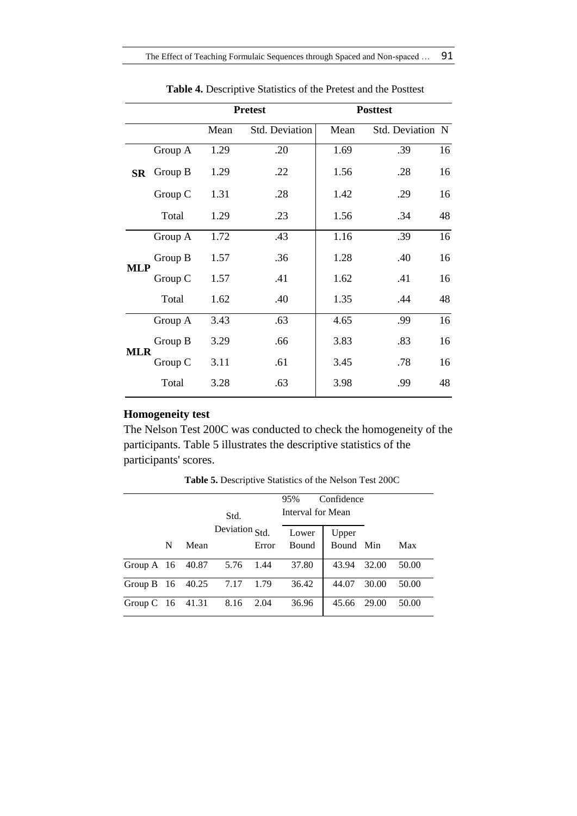|               |         |      | <b>Pretest</b>        |      | <b>Posttest</b>  |    |
|---------------|---------|------|-----------------------|------|------------------|----|
|               |         | Mean | <b>Std. Deviation</b> | Mean | Std. Deviation N |    |
|               | Group A | 1.29 | .20                   | 1.69 | .39              | 16 |
| $\mathbf{SR}$ | Group B | 1.29 | .22                   | 1.56 | .28              | 16 |
|               | Group C | 1.31 | .28                   | 1.42 | .29              | 16 |
|               | Total   | 1.29 | .23                   | 1.56 | .34              | 48 |
|               | Group A | 1.72 | .43                   | 1.16 | .39              | 16 |
| <b>MLP</b>    | Group B | 1.57 | .36                   | 1.28 | .40              | 16 |
|               | Group C | 1.57 | .41                   | 1.62 | .41              | 16 |
|               | Total   | 1.62 | .40                   | 1.35 | .44              | 48 |
|               | Group A | 3.43 | .63                   | 4.65 | .99              | 16 |
| <b>MLR</b>    | Group B | 3.29 | .66                   | 3.83 | .83              | 16 |
|               | Group C | 3.11 | .61                   | 3.45 | .78              | 16 |
|               | Total   | 3.28 | .63                   | 3.98 | .99              | 48 |

**Table 4.** Descriptive Statistics of the Pretest and the Posttest

## **Homogeneity test**

The Nelson Test 200C was conducted to check the homogeneity of the participants. Table 5 illustrates the descriptive statistics of the participants' scores.

|                          |   |          |                |       | 95%               | Confidence |       |       |
|--------------------------|---|----------|----------------|-------|-------------------|------------|-------|-------|
|                          |   |          | Std.           |       | Interval for Mean |            |       |       |
|                          |   |          | Deviation Std. |       | Lower             | Upper      |       |       |
|                          | N | Mean     |                | Error | <b>Bound</b>      | Bound Min  |       | Max   |
| Group $A$ 16             |   | 40.87    | 5.76 1.44      |       | 37.80             | 43.94      | 32.00 | 50.00 |
| Group B $16 \quad 40.25$ |   |          | 7.17           | 1.79  | 36.42             | 44.07      | 30.00 | 50.00 |
| Group $C$                |   | 16 41.31 | 8.16           | 2.04  | 36.96             | 45.66      | 29.00 | 50.00 |

**Table 5.** Descriptive Statistics of the Nelson Test 200C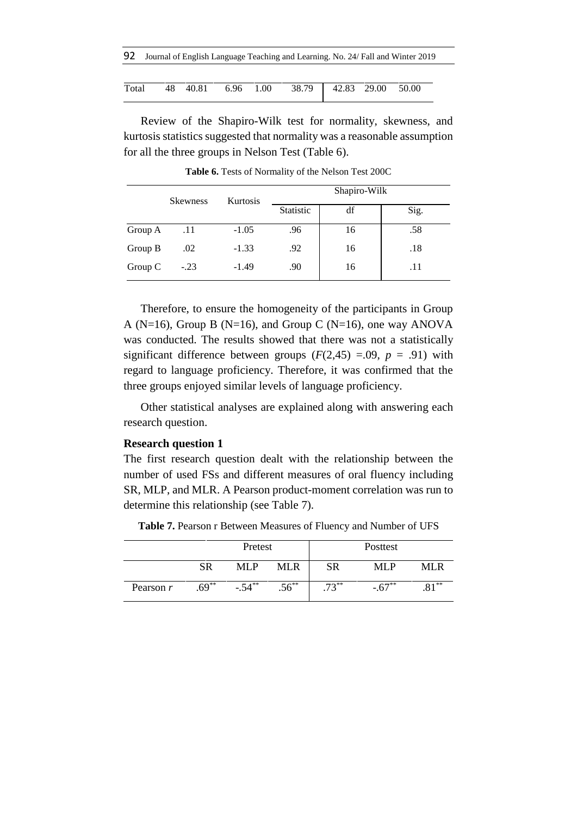|  | 92 Journal of English Language Teaching and Learning. No. 24/ Fall and Winter 2019 |  |  |
|--|------------------------------------------------------------------------------------|--|--|
|--|------------------------------------------------------------------------------------|--|--|

|  |  | Total 48 40.81 6.96 1.00 38.79 42.83 29.00 50.00 |  |  |
|--|--|--------------------------------------------------|--|--|

Review of the Shapiro-Wilk test for normality, skewness, and kurtosis statistics suggested that normality was a reasonable assumption for all the three groups in Nelson Test (Table 6).

|         | <b>Skewness</b> | <b>Kurtosis</b> |           | Shapiro-Wilk |      |
|---------|-----------------|-----------------|-----------|--------------|------|
|         |                 |                 | Statistic | df           | Sig. |
| Group A | .11             | $-1.05$         | .96       | 16           | .58  |
| Group B | .02             | $-1.33$         | .92       | 16           | .18  |
| Group C | $-.23$          | $-1.49$         | .90       | 16           | .11  |

**Table 6.** Tests of Normality of the Nelson Test 200C

Therefore, to ensure the homogeneity of the participants in Group A ( $N=16$ ), Group B ( $N=16$ ), and Group C ( $N=16$ ), one way ANOVA was conducted. The results showed that there was not a statistically significant difference between groups  $(F(2, 45) = .09, p = .91)$  with regard to language proficiency. Therefore, it was confirmed that the three groups enjoyed similar levels of language proficiency.

Other statistical analyses are explained along with answering each research question.

#### **Research question 1**

The first research question dealt with the relationship between the number of used FSs and different measures of oral fluency including SR, MLP, and MLR. A Pearson product-moment correlation was run to determine this relationship (see Table 7).

|             | Pretest |            |          |        | Posttest   |        |
|-------------|---------|------------|----------|--------|------------|--------|
|             | SR      | MI P       | MLR      | SR     | MLP        | MLR.   |
| Pearson $r$ | $.69**$ | $-54^{**}$ | $.56***$ | $72**$ | $-0.67$ ** | $Q1**$ |

**Table 7.** Pearson r Between Measures of Fluency and Number of UFS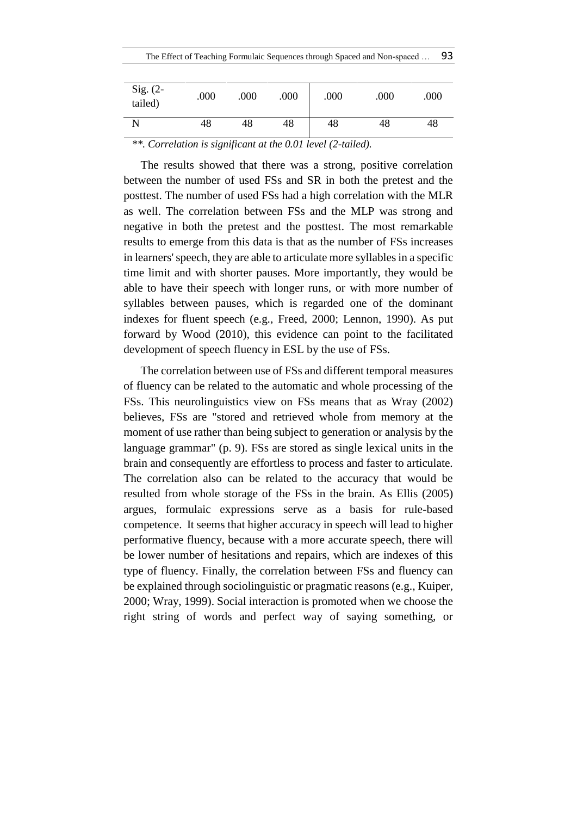| Sig. $(2-$<br>tailed) | .000 | .000 | .000 | .000 | .000 | .000 |
|-----------------------|------|------|------|------|------|------|
| N                     | 48   | 48   | 48   | 48   | 48   | 48   |

*\*\*. Correlation is significant at the 0.01 level (2-tailed).*

The results showed that there was a strong, positive correlation between the number of used FSs and SR in both the pretest and the posttest. The number of used FSs had a high correlation with the MLR as well. The correlation between FSs and the MLP was strong and negative in both the pretest and the posttest. The most remarkable results to emerge from this data is that as the number of FSs increases in learners' speech, they are able to articulate more syllables in a specific time limit and with shorter pauses. More importantly, they would be able to have their speech with longer runs, or with more number of syllables between pauses, which is regarded one of the dominant indexes for fluent speech (e.g., Freed, 2000; Lennon, 1990). As put forward by Wood (2010), this evidence can point to the facilitated development of speech fluency in ESL by the use of FSs.

The correlation between use of FSs and different temporal measures of fluency can be related to the automatic and whole processing of the FSs. This neurolinguistics view on FSs means that as Wray (2002) believes, FSs are "stored and retrieved whole from memory at the moment of use rather than being subject to generation or analysis by the language grammar" (p. 9). FSs are stored as single lexical units in the brain and consequently are effortless to process and faster to articulate. The correlation also can be related to the accuracy that would be resulted from whole storage of the FSs in the brain. As Ellis (2005) argues, formulaic expressions serve as a basis for rule-based competence. It seems that higher accuracy in speech will lead to higher performative fluency, because with a more accurate speech, there will be lower number of hesitations and repairs, which are indexes of this type of fluency. Finally, the correlation between FSs and fluency can be explained through sociolinguistic or pragmatic reasons (e.g., Kuiper, 2000; Wray, 1999). Social interaction is promoted when we choose the right string of words and perfect way of saying something, or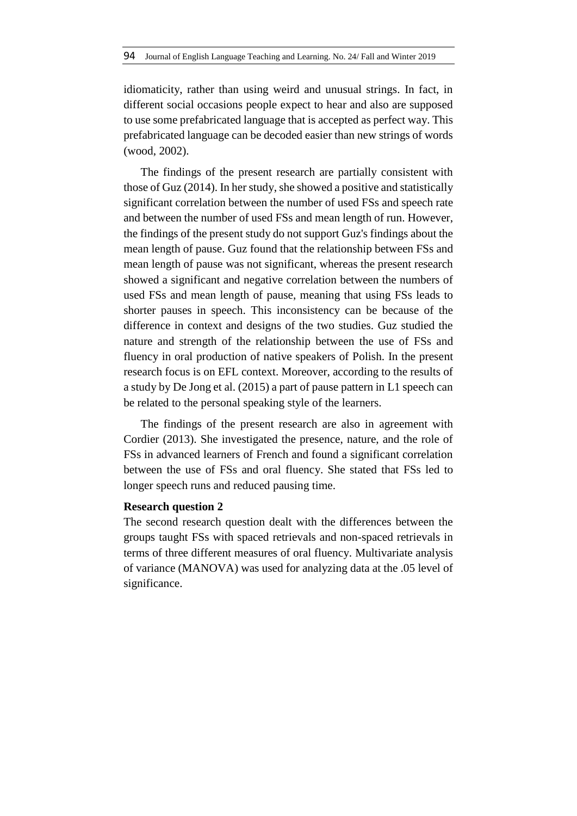idiomaticity, rather than using weird and unusual strings. In fact, in different social occasions people expect to hear and also are supposed to use some prefabricated language that is accepted as perfect way. This prefabricated language can be decoded easier than new strings of words (wood, 2002).

The findings of the present research are partially consistent with those of Guz (2014). In her study, she showed a positive and statistically significant correlation between the number of used FSs and speech rate and between the number of used FSs and mean length of run. However, the findings of the present study do not support Guz's findings about the mean length of pause. Guz found that the relationship between FSs and mean length of pause was not significant, whereas the present research showed a significant and negative correlation between the numbers of used FSs and mean length of pause, meaning that using FSs leads to shorter pauses in speech. This inconsistency can be because of the difference in context and designs of the two studies. Guz studied the nature and strength of the relationship between the use of FSs and fluency in oral production of native speakers of Polish. In the present research focus is on EFL context. Moreover, according to the results of a study by De Jong et al. (2015) a part of pause pattern in L1 speech can be related to the personal speaking style of the learners.

The findings of the present research are also in agreement with Cordier (2013). She investigated the presence, nature, and the role of FSs in advanced learners of French and found a significant correlation between the use of FSs and oral fluency. She stated that FSs led to longer speech runs and reduced pausing time.

## **Research question 2**

The second research question dealt with the differences between the groups taught FSs with spaced retrievals and non-spaced retrievals in terms of three different measures of oral fluency. Multivariate analysis of variance (MANOVA) was used for analyzing data at the .05 level of significance.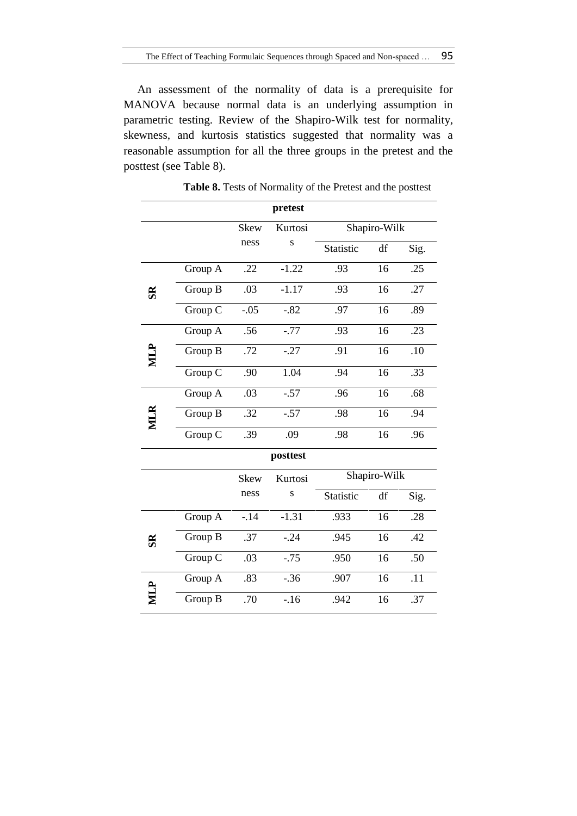An assessment of the normality of data is a prerequisite for MANOVA because normal data is an underlying assumption in parametric testing. Review of the Shapiro-Wilk test for normality, skewness, and kurtosis statistics suggested that normality was a reasonable assumption for all the three groups in the pretest and the posttest (see Table 8).

|                |         |             | pretest  |           |              |      |
|----------------|---------|-------------|----------|-----------|--------------|------|
|                |         | <b>Skew</b> | Kurtosi  |           | Shapiro-Wilk |      |
|                |         | ness        | S        | Statistic | df           | Sig. |
|                | Group A | .22         | $-1.22$  | .93       | 16           | .25  |
| $\mathbf{g}$   | Group B | .03         | $-1.17$  | .93       | 16           | .27  |
|                | Group C | $-.05$      | $-.82$   | .97       | 16           | .89  |
|                | Group A | .56         | $-.77$   | .93       | 16           | .23  |
| MLP            | Group B | .72         | $-.27$   | .91       | 16           | .10  |
|                | Group C | .90         | 1.04     | .94       | 16           | .33  |
|                | Group A | .03         | $-.57$   | .96       | 16           | .68  |
|                | Group B | .32         | $-.57$   | .98       | 16           | .94  |
|                | Group C | .39         | .09      | .98       | 16           | .96  |
|                |         |             | posttest |           |              |      |
|                |         | <b>Skew</b> | Kurtosi  |           | Shapiro-Wilk |      |
|                |         | ness        | S        | Statistic | df           | Sig. |
|                | Group A | $-14$       | $-1.31$  | .933      | 16           | .28  |
| S <sub>R</sub> | Group B | .37         | $-.24$   | .945      | 16           | .42  |
|                | Group C | .03         | $-.75$   | .950      | 16           | .50  |
|                | Group A | .83         | $-.36$   | .907      | 16           | .11  |
|                | Group B | .70         | $-16$    | .942      | 16           | .37  |

**Table 8.** Tests of Normality of the Pretest and the posttest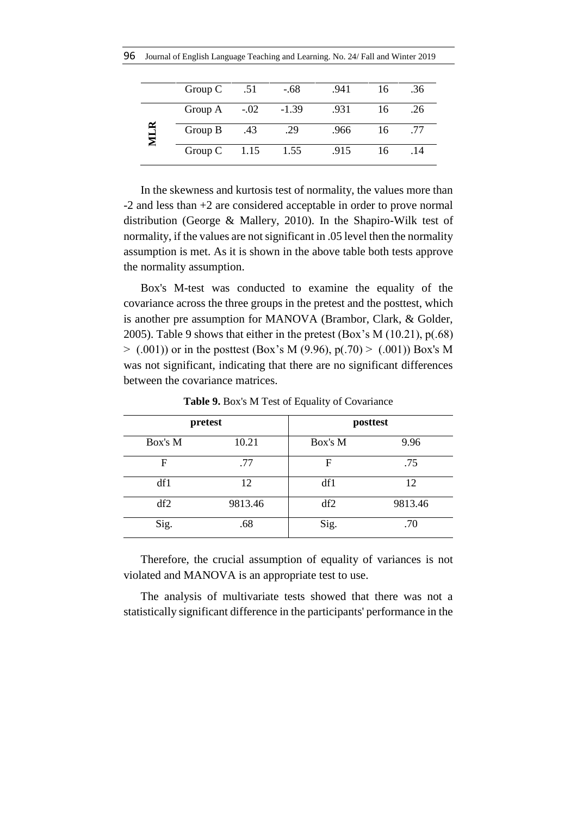| Group C        | .51  | $-.68$  | .941 | 16 | .36 |
|----------------|------|---------|------|----|-----|
| Group A $-.02$ |      | $-1.39$ | .931 | 16 | .26 |
| Group B        | .43  | .29     | .966 | 16 | .77 |
| Group C        | 1.15 | 1.55    | .915 | 16 | .14 |

In the skewness and kurtosis test of normality, the values more than -2 and less than +2 are considered acceptable in order to prove normal distribution (George & Mallery, 2010). In the Shapiro-Wilk test of normality, if the values are not significant in .05 level then the normality assumption is met. As it is shown in the above table both tests approve the normality assumption.

Box's M-test was conducted to examine the equality of the covariance across the three groups in the pretest and the posttest, which is another pre assumption for MANOVA (Brambor, Clark, & Golder, 2005). Table 9 shows that either in the pretest (Box's M (10.21), p(.68)  $>$  (.001)) or in the posttest (Box's M (9.96), p(.70) > (.001)) Box's M was not significant, indicating that there are no significant differences between the covariance matrices.

|         | pretest |         | posttest |
|---------|---------|---------|----------|
| Box's M | 10.21   | Box's M | 9.96     |
| F       | .77     | F       | .75      |
| df1     | 12      | df1     | 12       |
| df2     | 9813.46 | df2     | 9813.46  |
| Sig.    | .68     | Sig.    | .70      |

**Table 9.** Box's M Test of Equality of Covariance

Therefore, the crucial assumption of equality of variances is not violated and MANOVA is an appropriate test to use.

The analysis of multivariate tests showed that there was not a statistically significant difference in the participants' performance in the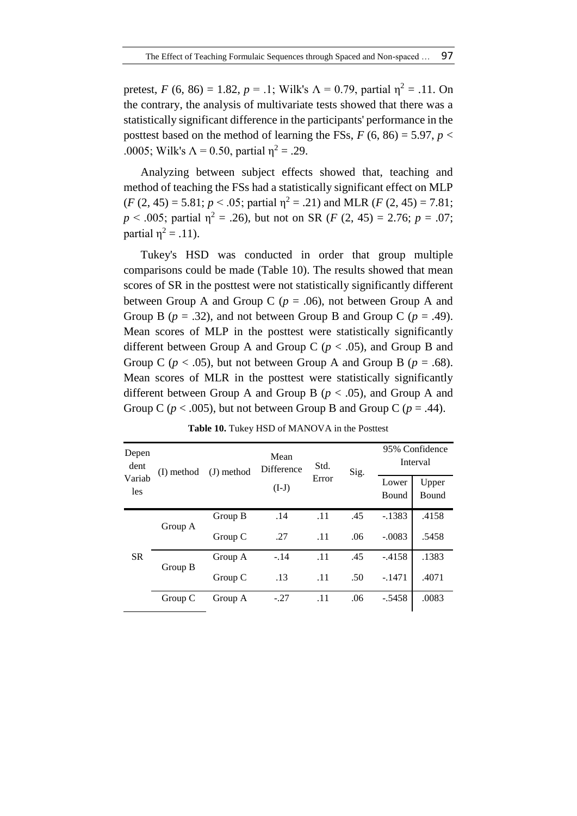pretest, *F* (6, 86) = 1.82, *p* = .1; Wilk's  $\Lambda$  = 0.79, partial  $\eta^2$  = .11. On the contrary, the analysis of multivariate tests showed that there was a statistically significant difference in the participants' performance in the posttest based on the method of learning the FSs,  $F(6, 86) = 5.97$ ,  $p <$ .0005; Wilk's  $\Lambda$  = 0.50, partial  $\eta^2$  = .29.

Analyzing between subject effects showed that, teaching and method of teaching the FSs had a statistically significant effect on MLP  $(F (2, 45) = 5.81; p < .05;$  partial  $\eta^2 = .21$ ) and MLR  $(F (2, 45) = 7.81;$  $p \le 0.005$ ; partial  $\eta^2 = 0.26$ , but not on SR (*F* (2, 45) = 2.76; *p* = 0.07; partial  $\eta^2 = .11$ ).

Tukey's HSD was conducted in order that group multiple comparisons could be made (Table 10). The results showed that mean scores of SR in the posttest were not statistically significantly different between Group A and Group C ( $p = .06$ ), not between Group A and Group B ( $p = .32$ ), and not between Group B and Group C ( $p = .49$ ). Mean scores of MLP in the posttest were statistically significantly different between Group A and Group C (*p* < .05), and Group B and Group C ( $p < .05$ ), but not between Group A and Group B ( $p = .68$ ). Mean scores of MLR in the posttest were statistically significantly different between Group A and Group B (*p* < .05), and Group A and Group C ( $p < .005$ ), but not between Group B and Group C ( $p = .44$ ).

| Depen<br>dent |         | $(J)$ method<br>(I) method |         | Std.<br>Error | Sig. | 95% Confidence<br>Interval |                |
|---------------|---------|----------------------------|---------|---------------|------|----------------------------|----------------|
| Variab<br>les |         |                            | $(I-J)$ |               |      | Lower<br>Bound             | Upper<br>Bound |
|               | Group A | Group B                    | .14     | .11           | .45  | $-1383$                    | .4158          |
|               |         | Group C                    | .27     | .11           | .06  | $-.0083$                   | .5458          |
| <b>SR</b>     |         | Group A                    | $-.14$  | .11           | .45  | $-4158$                    | .1383          |
|               | Group B | Group C                    | .13     | .11           | .50  | $-.1471$                   | .4071          |
|               | Group C | Group A                    | $-.27$  | .11           | .06  | $-.5458$                   | .0083          |

**Table 10.** Tukey HSD of MANOVA in the Posttest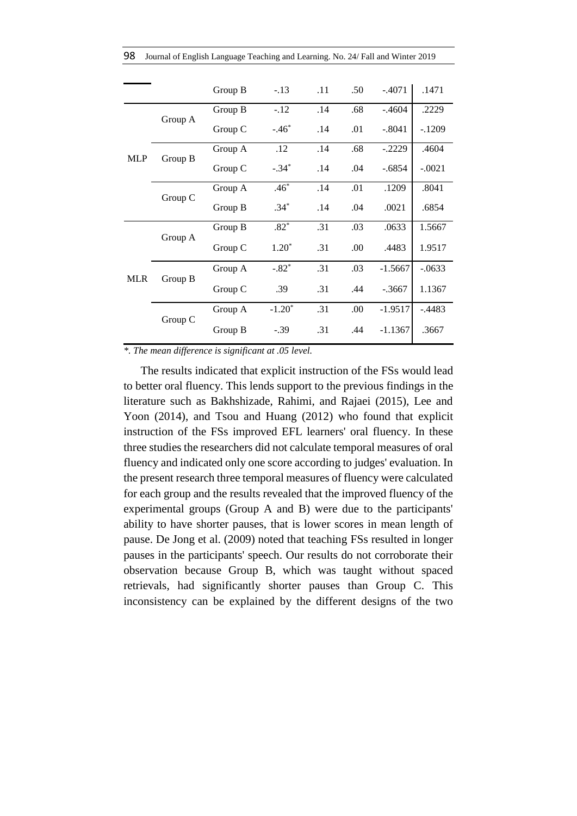|  | 98 Journal of English Language Teaching and Learning. No. 24/ Fall and Winter 2019 |  |  |  |  |  |  |
|--|------------------------------------------------------------------------------------|--|--|--|--|--|--|
|--|------------------------------------------------------------------------------------|--|--|--|--|--|--|

|            |         | Group B | $-.13$   | .11 | .50 | $-.4071$  | .1471     |
|------------|---------|---------|----------|-----|-----|-----------|-----------|
|            | Group A | Group B | $-.12$   | .14 | .68 | $-.4604$  | .2229     |
|            |         | Group C | $-.46*$  | .14 | .01 | $-.8041$  | $-.1209$  |
| MLP        | Group B | Group A | .12      | .14 | .68 | $-.2229$  | .4604     |
|            |         | Group C | $-.34*$  | .14 | .04 | $-.6854$  | $-.0021$  |
|            | Group C | Group A | $.46*$   | .14 | .01 | .1209     | .8041     |
|            |         | Group B | $.34*$   | .14 | .04 | .0021     | .6854     |
|            |         | Group B | $.82*$   | .31 | .03 | .0633     | 1.5667    |
|            | Group A | Group C | $1.20*$  | .31 | .00 | .4483     | 1.9517    |
|            |         | Group A | $-.82*$  | .31 | .03 | $-1.5667$ | $-.0633$  |
| <b>MLR</b> | Group B | Group C | .39      | .31 | .44 | $-.3667$  | 1.1367    |
|            |         | Group A | $-1.20*$ | .31 | .00 | $-1.9517$ | $-0.4483$ |
|            | Group C | Group B | $-.39$   | .31 | .44 | $-1.1367$ | .3667     |

*\*. The mean difference is significant at .05 level.*

The results indicated that explicit instruction of the FSs would lead to better oral fluency. This lends support to the previous findings in the literature such as Bakhshizade, Rahimi, and Rajaei (2015), Lee and Yoon (2014), and Tsou and Huang (2012) who found that explicit instruction of the FSs improved EFL learners' oral fluency. In these three studies the researchers did not calculate temporal measures of oral fluency and indicated only one score according to judges' evaluation. In the present research three temporal measures of fluency were calculated for each group and the results revealed that the improved fluency of the experimental groups (Group A and B) were due to the participants' ability to have shorter pauses, that is lower scores in mean length of pause. De Jong et al. (2009) noted that teaching FSs resulted in longer pauses in the participants' speech. Our results do not corroborate their observation because Group B, which was taught without spaced retrievals, had significantly shorter pauses than Group C. This inconsistency can be explained by the different designs of the two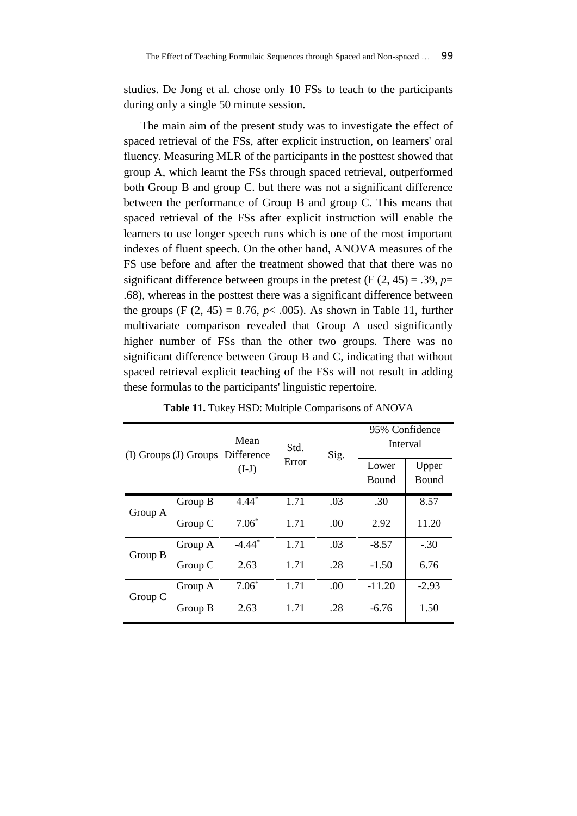studies. De Jong et al. chose only 10 FSs to teach to the participants during only a single 50 minute session.

The main aim of the present study was to investigate the effect of spaced retrieval of the FSs, after explicit instruction, on learners' oral fluency. Measuring MLR of the participants in the posttest showed that group A, which learnt the FSs through spaced retrieval, outperformed both Group B and group C. but there was not a significant difference between the performance of Group B and group C. This means that spaced retrieval of the FSs after explicit instruction will enable the learners to use longer speech runs which is one of the most important indexes of fluent speech. On the other hand, ANOVA measures of the FS use before and after the treatment showed that that there was no significant difference between groups in the pretest  $(F (2, 45) = .39, p=$ .68), whereas in the posttest there was a significant difference between the groups (F  $(2, 45) = 8.76$ ,  $p < .005$ ). As shown in Table 11, further multivariate comparison revealed that Group A used significantly higher number of FSs than the other two groups. There was no significant difference between Group B and C, indicating that without spaced retrieval explicit teaching of the FSs will not result in adding these formulas to the participants' linguistic repertoire.

| (I) Groups (J) Groups |         | Mean<br>Difference   | Std.  | Sig. | 95% Confidence<br>Interval |                       |
|-----------------------|---------|----------------------|-------|------|----------------------------|-----------------------|
|                       |         | $(I-J)$              | Error |      | Lower<br><b>Bound</b>      | Upper<br><b>Bound</b> |
| Group A               | Group B | $4.44*$              | 1.71  | .03  | .30                        | 8.57                  |
|                       | Group C | $7.06*$              | 1.71  | .00  | 2.92                       | 11.20                 |
| Group B               | Group A | $-4.44$ <sup>*</sup> | 1.71  | .03  | $-8.57$                    | $-.30$                |
|                       | Group C | 2.63                 | 1.71  | .28  | $-1.50$                    | 6.76                  |
| Group C               | Group A | $7.06*$              | 1.71  | .00  | $-11.20$                   | $-2.93$               |
|                       | Group B | 2.63                 | 1.71  | .28  | $-6.76$                    | 1.50                  |

**Table 11.** Tukey HSD: Multiple Comparisons of ANOVA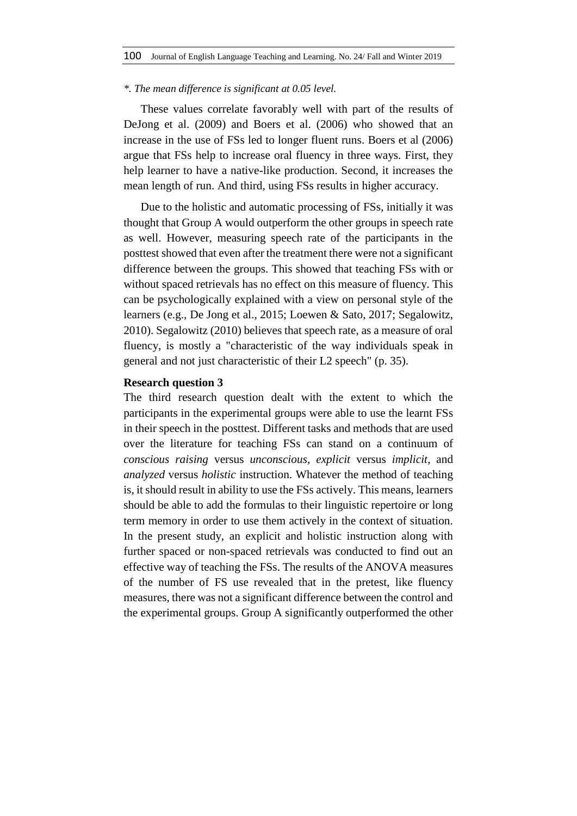#### *\*. The mean difference is significant at 0.05 level.*

These values correlate favorably well with part of the results of DeJong et al. (2009) and Boers et al. (2006) who showed that an increase in the use of FSs led to longer fluent runs. Boers et al (2006) argue that FSs help to increase oral fluency in three ways. First, they help learner to have a native-like production. Second, it increases the mean length of run. And third, using FSs results in higher accuracy.

Due to the holistic and automatic processing of FSs, initially it was thought that Group A would outperform the other groups in speech rate as well. However, measuring speech rate of the participants in the posttest showed that even after the treatment there were not a significant difference between the groups. This showed that teaching FSs with or without spaced retrievals has no effect on this measure of fluency. This can be psychologically explained with a view on personal style of the learners (e.g., De Jong et al., 2015; Loewen & Sato, 2017; Segalowitz, 2010). Segalowitz (2010) believes that speech rate, as a measure of oral fluency, is mostly a "characteristic of the way individuals speak in general and not just characteristic of their L2 speech" (p. 35).

### **Research question 3**

The third research question dealt with the extent to which the participants in the experimental groups were able to use the learnt FSs in their speech in the posttest. Different tasks and methods that are used over the literature for teaching FSs can stand on a continuum of *conscious raising* versus *unconscious*, *explicit* versus *implicit*, and *analyzed* versus *holistic* instruction. Whatever the method of teaching is, it should result in ability to use the FSs actively. This means, learners should be able to add the formulas to their linguistic repertoire or long term memory in order to use them actively in the context of situation. In the present study, an explicit and holistic instruction along with further spaced or non-spaced retrievals was conducted to find out an effective way of teaching the FSs. The results of the ANOVA measures of the number of FS use revealed that in the pretest, like fluency measures, there was not a significant difference between the control and the experimental groups. Group A significantly outperformed the other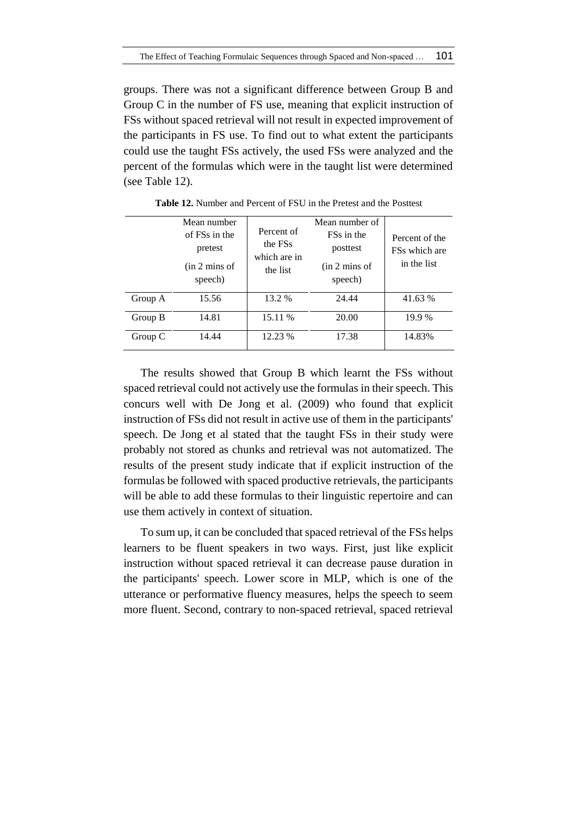groups. There was not a significant difference between Group B and Group C in the number of FS use, meaning that explicit instruction of FSs without spaced retrieval will not result in expected improvement of the participants in FS use. To find out to what extent the participants could use the taught FSs actively, the used FSs were analyzed and the percent of the formulas which were in the taught list were determined (see Table 12).

|         | Mean number<br>of FSs in the<br>pretest<br>(in 2 mins of<br>speech) | Percent of<br>the FS <sub>s</sub><br>which are in<br>the list | Mean number of<br><b>FSs</b> in the<br>posttest<br>(in 2 mins of<br>speech) | Percent of the<br>FS <sub>s</sub> which are<br>in the list |
|---------|---------------------------------------------------------------------|---------------------------------------------------------------|-----------------------------------------------------------------------------|------------------------------------------------------------|
| Group A | 15.56                                                               | 13.2 %                                                        | 24.44                                                                       | 41.63 %                                                    |
| Group B | 14.81                                                               | 15.11 %                                                       | 20.00                                                                       | 19.9 %                                                     |
| Group C | 14.44                                                               | 12.23 %                                                       | 17.38                                                                       | 14.83%                                                     |

**Table 12.** Number and Percent of FSU in the Pretest and the Posttest

The results showed that Group B which learnt the FSs without spaced retrieval could not actively use the formulas in their speech. This concurs well with De Jong et al. (2009) who found that explicit instruction of FSs did not result in active use of them in the participants' speech. De Jong et al stated that the taught FSs in their study were probably not stored as chunks and retrieval was not automatized. The results of the present study indicate that if explicit instruction of the formulas be followed with spaced productive retrievals, the participants will be able to add these formulas to their linguistic repertoire and can use them actively in context of situation.

To sum up, it can be concluded that spaced retrieval of the FSs helps learners to be fluent speakers in two ways. First, just like explicit instruction without spaced retrieval it can decrease pause duration in the participants' speech. Lower score in MLP, which is one of the utterance or performative fluency measures, helps the speech to seem more fluent. Second, contrary to non-spaced retrieval, spaced retrieval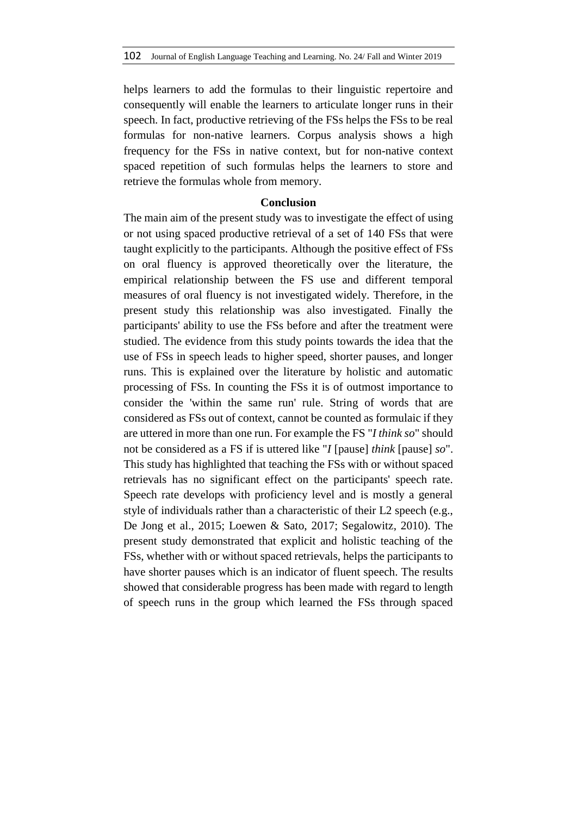helps learners to add the formulas to their linguistic repertoire and consequently will enable the learners to articulate longer runs in their speech. In fact, productive retrieving of the FSs helps the FSs to be real formulas for non-native learners. Corpus analysis shows a high frequency for the FSs in native context, but for non-native context spaced repetition of such formulas helps the learners to store and retrieve the formulas whole from memory.

### **Conclusion**

The main aim of the present study was to investigate the effect of using or not using spaced productive retrieval of a set of 140 FSs that were taught explicitly to the participants. Although the positive effect of FSs on oral fluency is approved theoretically over the literature, the empirical relationship between the FS use and different temporal measures of oral fluency is not investigated widely. Therefore, in the present study this relationship was also investigated. Finally the participants' ability to use the FSs before and after the treatment were studied. The evidence from this study points towards the idea that the use of FSs in speech leads to higher speed, shorter pauses, and longer runs. This is explained over the literature by holistic and automatic processing of FSs. In counting the FSs it is of outmost importance to consider the 'within the same run' rule. String of words that are considered as FSs out of context, cannot be counted as formulaic if they are uttered in more than one run. For example the FS "*I think so*" should not be considered as a FS if is uttered like "*I* [pause] *think* [pause] *so*". This study has highlighted that teaching the FSs with or without spaced retrievals has no significant effect on the participants' speech rate. Speech rate develops with proficiency level and is mostly a general style of individuals rather than a characteristic of their L2 speech (e.g., De Jong et al., 2015; Loewen & Sato, 2017; Segalowitz, 2010). The present study demonstrated that explicit and holistic teaching of the FSs, whether with or without spaced retrievals, helps the participants to have shorter pauses which is an indicator of fluent speech. The results showed that considerable progress has been made with regard to length of speech runs in the group which learned the FSs through spaced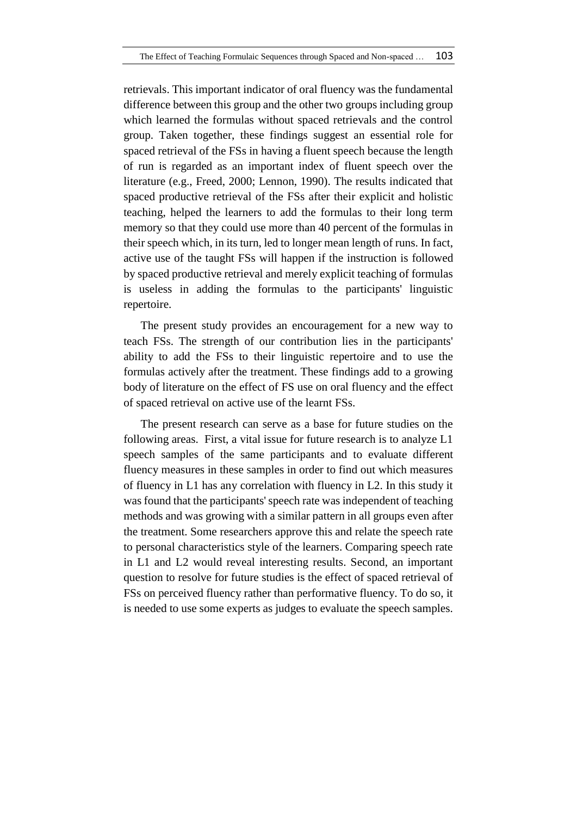retrievals. This important indicator of oral fluency was the fundamental difference between this group and the other two groups including group which learned the formulas without spaced retrievals and the control group. Taken together, these findings suggest an essential role for spaced retrieval of the FSs in having a fluent speech because the length of run is regarded as an important index of fluent speech over the literature (e.g., Freed, 2000; Lennon, 1990). The results indicated that spaced productive retrieval of the FSs after their explicit and holistic teaching, helped the learners to add the formulas to their long term memory so that they could use more than 40 percent of the formulas in their speech which, in its turn, led to longer mean length of runs. In fact, active use of the taught FSs will happen if the instruction is followed by spaced productive retrieval and merely explicit teaching of formulas is useless in adding the formulas to the participants' linguistic repertoire.

The present study provides an encouragement for a new way to teach FSs. The strength of our contribution lies in the participants' ability to add the FSs to their linguistic repertoire and to use the formulas actively after the treatment. These findings add to a growing body of literature on the effect of FS use on oral fluency and the effect of spaced retrieval on active use of the learnt FSs.

The present research can serve as a base for future studies on the following areas. First, a vital issue for future research is to analyze L1 speech samples of the same participants and to evaluate different fluency measures in these samples in order to find out which measures of fluency in L1 has any correlation with fluency in L2. In this study it was found that the participants' speech rate was independent of teaching methods and was growing with a similar pattern in all groups even after the treatment. Some researchers approve this and relate the speech rate to personal characteristics style of the learners. Comparing speech rate in L1 and L2 would reveal interesting results. Second, an important question to resolve for future studies is the effect of spaced retrieval of FSs on perceived fluency rather than performative fluency. To do so, it is needed to use some experts as judges to evaluate the speech samples.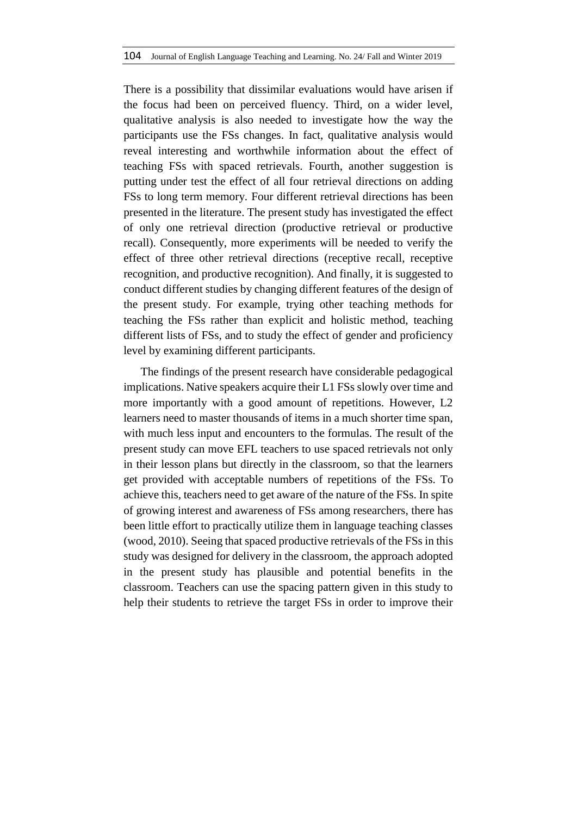There is a possibility that dissimilar evaluations would have arisen if the focus had been on perceived fluency. Third, on a wider level, qualitative analysis is also needed to investigate how the way the participants use the FSs changes. In fact, qualitative analysis would reveal interesting and worthwhile information about the effect of teaching FSs with spaced retrievals. Fourth, another suggestion is putting under test the effect of all four retrieval directions on adding FSs to long term memory. Four different retrieval directions has been presented in the literature. The present study has investigated the effect of only one retrieval direction (productive retrieval or productive recall). Consequently, more experiments will be needed to verify the effect of three other retrieval directions (receptive recall, receptive recognition, and productive recognition). And finally, it is suggested to conduct different studies by changing different features of the design of the present study. For example, trying other teaching methods for teaching the FSs rather than explicit and holistic method, teaching different lists of FSs, and to study the effect of gender and proficiency level by examining different participants.

The findings of the present research have considerable pedagogical implications. Native speakers acquire their L1 FSs slowly over time and more importantly with a good amount of repetitions. However, L2 learners need to master thousands of items in a much shorter time span, with much less input and encounters to the formulas. The result of the present study can move EFL teachers to use spaced retrievals not only in their lesson plans but directly in the classroom, so that the learners get provided with acceptable numbers of repetitions of the FSs. To achieve this, teachers need to get aware of the nature of the FSs. In spite of growing interest and awareness of FSs among researchers, there has been little effort to practically utilize them in language teaching classes (wood, 2010). Seeing that spaced productive retrievals of the FSs in this study was designed for delivery in the classroom, the approach adopted in the present study has plausible and potential benefits in the classroom. Teachers can use the spacing pattern given in this study to help their students to retrieve the target FSs in order to improve their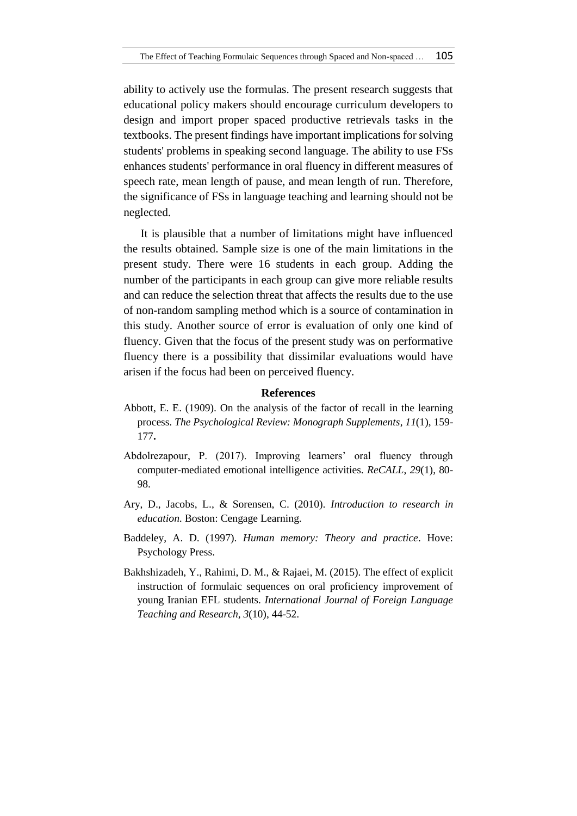ability to actively use the formulas. The present research suggests that educational policy makers should encourage curriculum developers to design and import proper spaced productive retrievals tasks in the textbooks. The present findings have important implications for solving students' problems in speaking second language. The ability to use FSs enhances students' performance in oral fluency in different measures of speech rate, mean length of pause, and mean length of run. Therefore, the significance of FSs in language teaching and learning should not be neglected.

It is plausible that a number of limitations might have influenced the results obtained. Sample size is one of the main limitations in the present study. There were 16 students in each group. Adding the number of the participants in each group can give more reliable results and can reduce the selection threat that affects the results due to the use of non-random sampling method which is a source of contamination in this study. Another source of error is evaluation of only one kind of fluency. Given that the focus of the present study was on performative fluency there is a possibility that dissimilar evaluations would have arisen if the focus had been on perceived fluency.

#### **References**

- Abbott, E. E. (1909). On the analysis of the factor of recall in the learning process. *The Psychological Review: Monograph Supplements*, *11*(1), 159- 177**.**
- Abdolrezapour, P. (2017). Improving learners' oral fluency through computer-mediated emotional intelligence activities. *ReCALL*, *29*(1), 80- 98.
- Ary, D., Jacobs, L., & Sorensen, C. (2010). *Introduction to research in education*. Boston: Cengage Learning.
- Baddeley, A. D. (1997). *Human memory: Theory and practice*. Hove: Psychology Press.
- Bakhshizadeh, Y., Rahimi, D. M., & Rajaei, M. (2015). The effect of explicit instruction of formulaic sequences on oral proficiency improvement of young Iranian EFL students. *International Journal of Foreign Language Teaching and Research*, *3*(10), 44-52.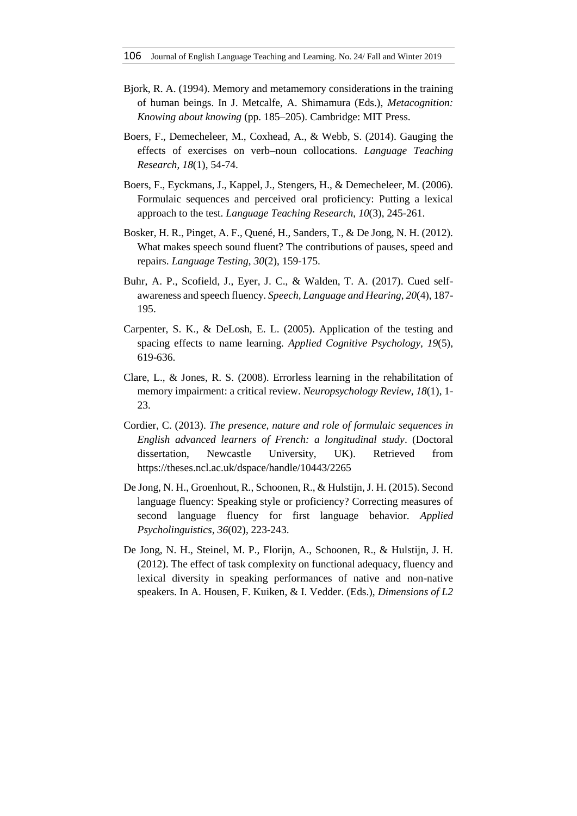- Bjork, R. A. (1994). Memory and metamemory considerations in the training of human beings. In J. Metcalfe, A. Shimamura (Eds.), *Metacognition: Knowing about knowing* (pp. 185–205). Cambridge: MIT Press.
- Boers, F., Demecheleer, M., Coxhead, A., & Webb, S. (2014). Gauging the effects of exercises on verb–noun collocations. *Language Teaching Research*, *18*(1), 54-74.
- Boers, F., Eyckmans, J., Kappel, J., Stengers, H., & Demecheleer, M. (2006). Formulaic sequences and perceived oral proficiency: Putting a lexical approach to the test. *Language Teaching Research*, *10*(3), 245-261.
- Bosker, H. R., Pinget, A. F., Quené, H., Sanders, T., & De Jong, N. H. (2012). What makes speech sound fluent? The contributions of pauses, speed and repairs. *Language Testing*, *30*(2), 159-175.
- Buhr, A. P., Scofield, J., Eyer, J. C., & Walden, T. A. (2017). Cued selfawareness and speech fluency. *Speech, Language and Hearing*, *20*(4), 187- 195.
- Carpenter, S. K., & DeLosh, E. L. (2005). Application of the testing and spacing effects to name learning. *Applied Cognitive Psychology*, *19*(5), 619-636.
- Clare, L., & Jones, R. S. (2008). Errorless learning in the rehabilitation of memory impairment: a critical review. *Neuropsychology Review*, *18*(1), 1- 23.
- Cordier, C. (2013). *The presence, nature and role of formulaic sequences in English advanced learners of French: a longitudinal study*. (Doctoral dissertation, Newcastle University, UK). Retrieved from <https://theses.ncl.ac.uk/dspace/handle/10443/2265>
- De Jong, N. H., Groenhout, R., Schoonen, R., & Hulstijn, J. H. (2015). Second language fluency: Speaking style or proficiency? Correcting measures of second language fluency for first language behavior. *Applied Psycholinguistics*, *36*(02), 223-243.
- De Jong, N. H., Steinel, M. P., Florijn, A., Schoonen, R., & Hulstijn, J. H. (2012). The effect of task complexity on functional adequacy, fluency and lexical diversity in speaking performances of native and non-native speakers. In A. Housen, F. Kuiken, & I. Vedder. (Eds.), *Dimensions of L2*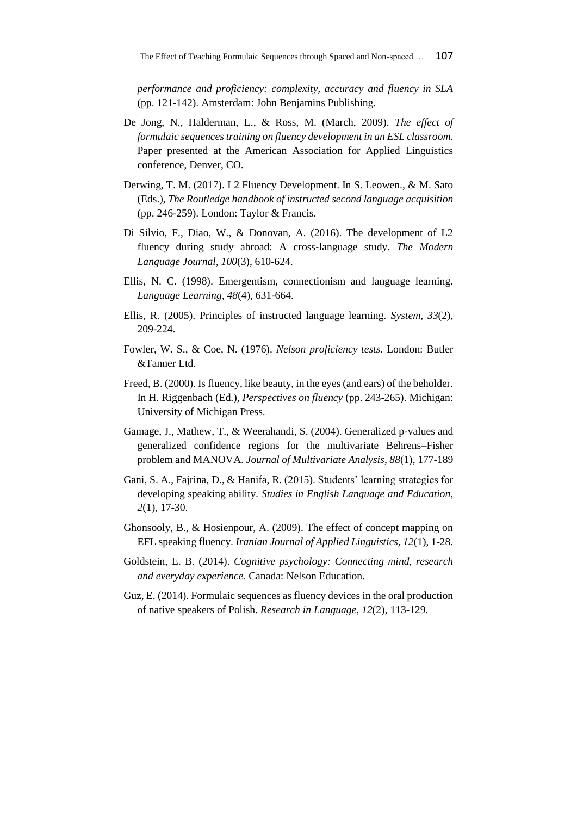*performance and proficiency: complexity, accuracy and fluency in SLA* (pp. 121-142). Amsterdam: John Benjamins Publishing.

- De Jong, N., Halderman, L., & Ross, M. (March, 2009). *The effect of formulaic sequences training on fluency development in an ESL classroom*. Paper presented at the American Association for Applied Linguistics conference, Denver, CO.
- Derwing, T. M. (2017). L2 Fluency Development. In S. Leowen., & M. Sato (Eds.), *The Routledge handbook of instructed second language acquisition* (pp. 246-259). London: Taylor & Francis.
- Di Silvio, F., Diao, W., & Donovan, A. (2016). The development of L2 fluency during study abroad: A cross‐language study. *The Modern Language Journal*, *100*(3), 610-624.
- Ellis, N. C. (1998). Emergentism, connectionism and language learning. *Language Learning*, *48*(4), 631-664.
- Ellis, R. (2005). Principles of instructed language learning. *System*, *33*(2), 209-224.
- Fowler, W. S., & Coe, N. (1976). *Nelson proficiency tests*. London: Butler &Tanner Ltd.
- Freed, B. (2000). Is fluency, like beauty, in the eyes (and ears) of the beholder. In H. Riggenbach (Ed.), *Perspectives on fluency* (pp. 243-265). Michigan: University of Michigan Press.
- Gamage, J., Mathew, T., & Weerahandi, S. (2004). Generalized p-values and generalized confidence regions for the multivariate Behrens–Fisher problem and MANOVA. *Journal of Multivariate Analysis*, *88*(1), 177-189
- Gani, S. A., Fajrina, D., & Hanifa, R. (2015). Students' learning strategies for developing speaking ability. *Studies in English Language and Education*, *2*(1), 17-30.
- Ghonsooly, B., & Hosienpour, A. (2009). The effect of concept mapping on EFL speaking fluency. *Iranian Journal of Applied Linguistics, 12*(1), 1-28.
- Goldstein, E. B. (2014). *Cognitive psychology: Connecting mind, research and everyday experience*. Canada: Nelson Education.
- Guz, E. (2014). Formulaic sequences as fluency devices in the oral production of native speakers of Polish. *Research in Language*, *12*(2), 113-129.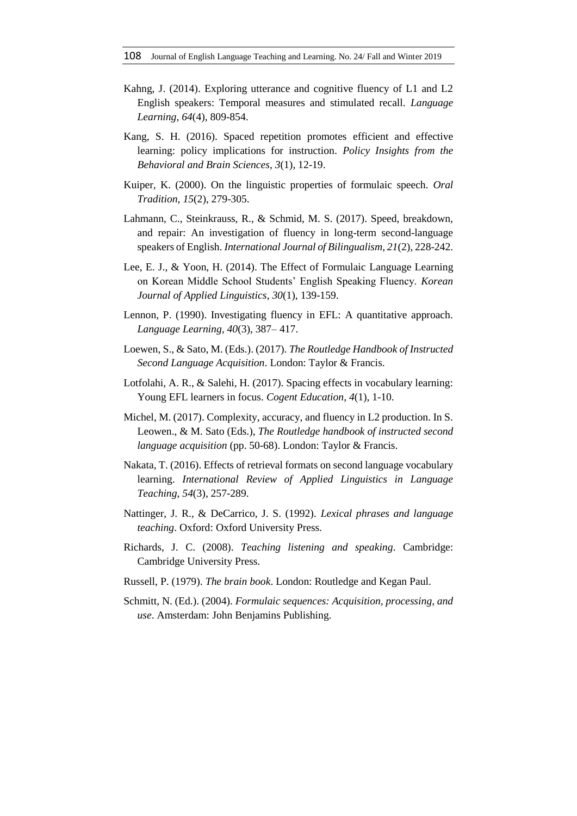- Kahng, J. (2014). Exploring utterance and cognitive fluency of L1 and L2 English speakers: Temporal measures and stimulated recall. *Language Learning*, *64*(4), 809-854.
- Kang, S. H. (2016). Spaced repetition promotes efficient and effective learning: policy implications for instruction. *Policy Insights from the Behavioral and Brain Sciences*, *3*(1), 12-19.
- Kuiper, K. (2000). On the linguistic properties of formulaic speech. *Oral Tradition*, *15*(2), 279-305.
- Lahmann, C., Steinkrauss, R., & Schmid, M. S. (2017). Speed, breakdown, and repair: An investigation of fluency in long-term second-language speakers of English. *International Journal of Bilingualism*, *21*(2), 228-242.
- Lee, E. J., & Yoon, H. (2014). The Effect of Formulaic Language Learning on Korean Middle School Students' English Speaking Fluency. *Korean Journal of Applied Linguistics*, *30*(1), 139-159.
- Lennon, P. (1990). Investigating fluency in EFL: A quantitative approach. *Language Learning, 40*(3), 387– 417.
- Loewen, S., & Sato, M. (Eds.). (2017). *The Routledge Handbook of Instructed Second Language Acquisition*. London: Taylor & Francis.
- Lotfolahi, A. R., & Salehi, H. (2017). Spacing effects in vocabulary learning: Young EFL learners in focus. *Cogent Education*, *4*(1), 1-10.
- Michel, M. (2017). Complexity, accuracy, and fluency in L2 production. In S. Leowen., & M. Sato (Eds.), *The Routledge handbook of instructed second language acquisition* (pp. 50-68). London: Taylor & Francis.
- Nakata, T. (2016). Effects of retrieval formats on second language vocabulary learning. *International Review of Applied Linguistics in Language Teaching*, *54*(3), 257-289.
- Nattinger, J. R., & DeCarrico, J. S. (1992). *Lexical phrases and language teaching*. Oxford: Oxford University Press.
- Richards, J. C. (2008). *Teaching listening and speaking*. Cambridge: Cambridge University Press.
- Russell, P. (1979). *The brain book*. London: Routledge and Kegan Paul.
- Schmitt, N. (Ed.). (2004). *Formulaic sequences: Acquisition, processing, and use*. Amsterdam: John Benjamins Publishing.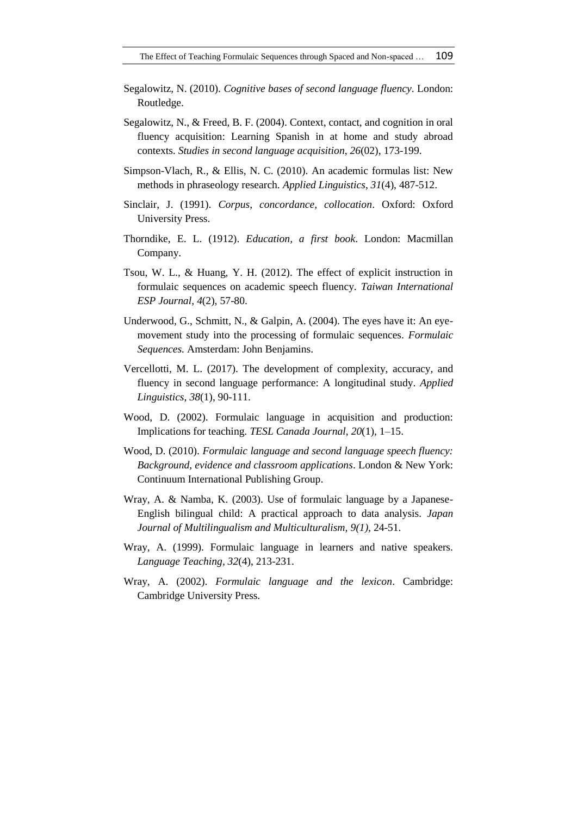- Segalowitz, N. (2010). *Cognitive bases of second language fluency*. London: Routledge.
- Segalowitz, N., & Freed, B. F. (2004). Context, contact, and cognition in oral fluency acquisition: Learning Spanish in at home and study abroad contexts. *Studies in second language acquisition*, *26*(02), 173-199.
- Simpson-Vlach, R., & Ellis, N. C. (2010). An academic formulas list: New methods in phraseology research. *Applied Linguistics*, *31*(4), 487-512.
- Sinclair, J. (1991). *Corpus, concordance, collocation*. Oxford: Oxford University Press.
- Thorndike, E. L. (1912). *Education, a first book*. London: Macmillan Company.
- Tsou, W. L., & Huang, Y. H. (2012). The effect of explicit instruction in formulaic sequences on academic speech fluency. *Taiwan International ESP Journal*, *4*(2), 57-80.
- Underwood, G., Schmitt, N., & Galpin, A. (2004). The eyes have it: An eyemovement study into the processing of formulaic sequences. *Formulaic Sequences.* Amsterdam: John Benjamins.
- Vercellotti, M. L. (2017). The development of complexity, accuracy, and fluency in second language performance: A longitudinal study. *Applied Linguistics*, *38*(1), 90-111.
- Wood, D. (2002). Formulaic language in acquisition and production: Implications for teaching. *TESL Canada Journal*, *20*(1), 1–15.
- Wood, D. (2010). *Formulaic language and second language speech fluency: Background, evidence and classroom applications*. London & New York: Continuum International Publishing Group.
- Wray, A. & Namba, K. (2003). Use of formulaic language by a Japanese-English bilingual child: A practical approach to data analysis. *Japan Journal of Multilingualism and Multiculturalism, 9(1)*, 24-51.
- Wray, A. (1999). Formulaic language in learners and native speakers. *Language Teaching*, *32*(4), 213-231.
- Wray, A. (2002). *Formulaic language and the lexicon*. Cambridge: Cambridge University Press.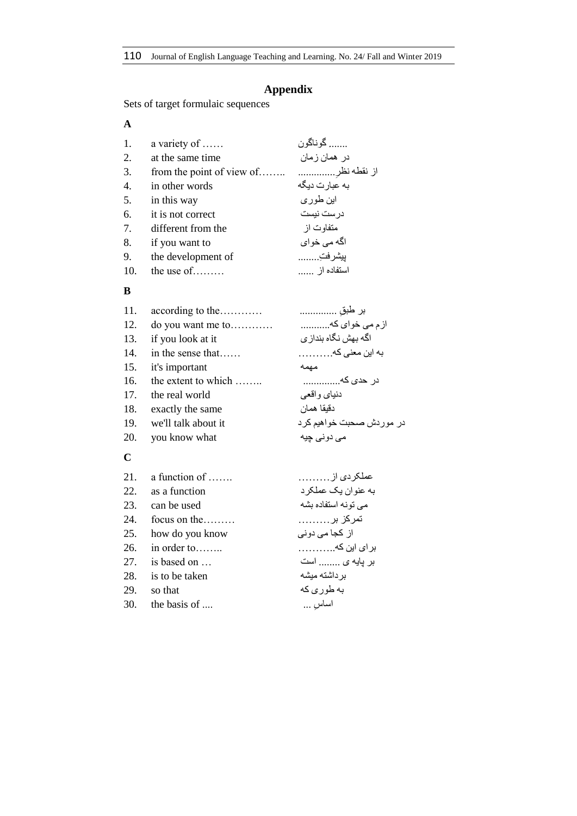# **Appendix**

Sets of target formulaic sequences

## **A**

| 1.  | a variety of       | گوناگون       |
|-----|--------------------|---------------|
| 2.  | at the same time   | در همان زمان  |
| 3.  |                    |               |
| 4.  | in other words     | به عبارت دیگه |
| 5.  | in this way        | این طوری      |
| 6.  | it is not correct  | در ست نیست    |
| 7.  | different from the | متفاوت از     |
| 8.  | if you want to     | اگه مي خواي   |
| 9.  | the development of | بيشرفتِ       |
| 10. | the use of         | استفاده از    |

## **B**

| 11. | according to the        | بر طبق                   |
|-----|-------------------------|--------------------------|
|     | 12. do you want me to   | ازم می خوای که           |
| 13. | if you look at it       | اگه بهش نگاه بنداز ي     |
| 14. | in the sense that       | به این معنی که           |
| 15. | it's important          | مهمه                     |
| 16. | the extent to which     | در حد <i>ی</i> که        |
| 17. | the real world          | دنياي واقعي              |
| 18. | exactly the same        | دقيقا همان               |
|     | 19. we'll talk about it | در موردش صحبت خواهيم كرد |
| 20. | you know what           | می دونی چیه              |
|     |                         |                          |

# **C**

| 21. | a function of     | عملكردي از           |
|-----|-------------------|----------------------|
|     | 22. as a function | به عنو ان یک عملکر د |
| 23. | can be used       | می تونه استفاده بشه  |
| 24. | focus on the      | تمرکز بر………          |
| 25. | how do you know   | از کجا می دونی       |
| 26. | in order to       | بر ای این که         |
| 27. | is based on       | بر پایه ی  است       |
| 28. | is to be taken    | بر داشته میشه        |
| 29. | so that           | به طور ی که          |
| 30. | the basis of      | اساس …               |
|     |                   |                      |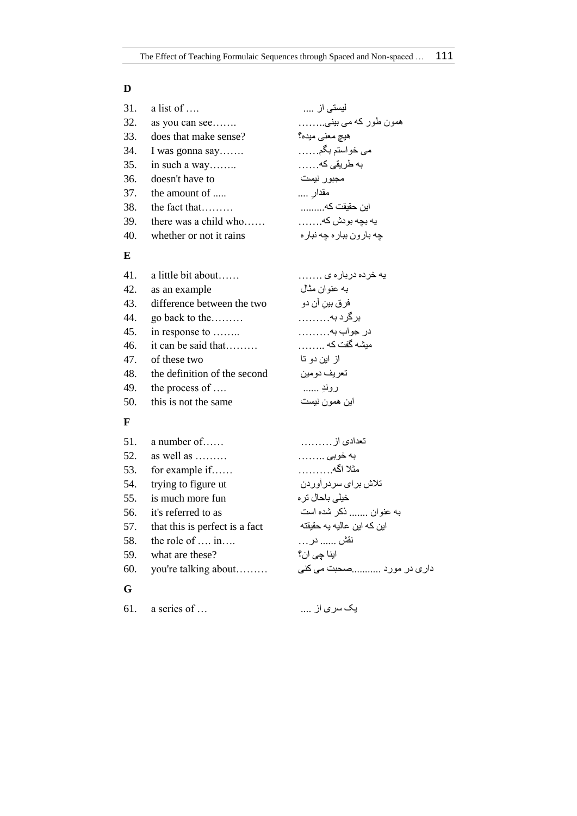## **D**

| 31. | a list of $\dots$          | لیستی از                   |
|-----|----------------------------|----------------------------|
| 32. | as you can see             | همون طور که می بینی        |
| 33. | does that make sense?      | هيچ معنى ميده؟             |
| 34. | I was gonna say            | می خواستم بگم              |
| 35. | in such a way              | به طریقی که                |
| 36. | doesn't have to            | مجبور نيست                 |
| 37. | the amount of              | مقدار ….                   |
| 38. | the fact that              | این حقیقت که               |
| 39. | there was a child who      | يه بچه بودش كه.            |
| 40. | whether or not it rains    | چه بار ون ببار ه چه نبار ه |
| E   |                            |                            |
| 41. | a little bit about         | يه خر ده در بار ه ی …….    |
| 42. | as an example              | به عنو ان مثال             |
| 43. | difference between the two | فر ق بين آن دو             |
| 44. | go back to the             | برگر د به                  |
| 45. | in response to             | در جواب به                 |
| 46. | it can be said that        | میشه گفت که                |

- از این دو تا two these of 47.
- 48. the definition of the second دومین تعریف
- لا بِروندِ ……. . ...... 49. the process of …..<br>19. this is not the same اين همون نيست
- 50. this is not the same

## **F**

|     | 51. a number of                | تعدادي از                  |
|-----|--------------------------------|----------------------------|
|     | 52. as well as $\dots$         | به خوبي                    |
|     | 53. for example if             | مثلا اگه                   |
|     | 54. trying to figure ut        | تلاش برای سردر آوردن       |
|     | 55. is much more fun           | خیلی باحال تر ہ            |
|     | 56. it's referred to as        | به عنوان  ذكر شده است      |
| 57. | that this is perfect is a fact | این که این عالیه یه حقیقته |
|     | 58. the role of  in            | نقش  در <sub>.</sub>       |
| 59. | what are these?                | اينا چي ان؟                |
| 60. | you're talking about           | داری در مورد صحبت می کنی   |
| G   |                                |                            |

یک سری از .... ... of series a 61.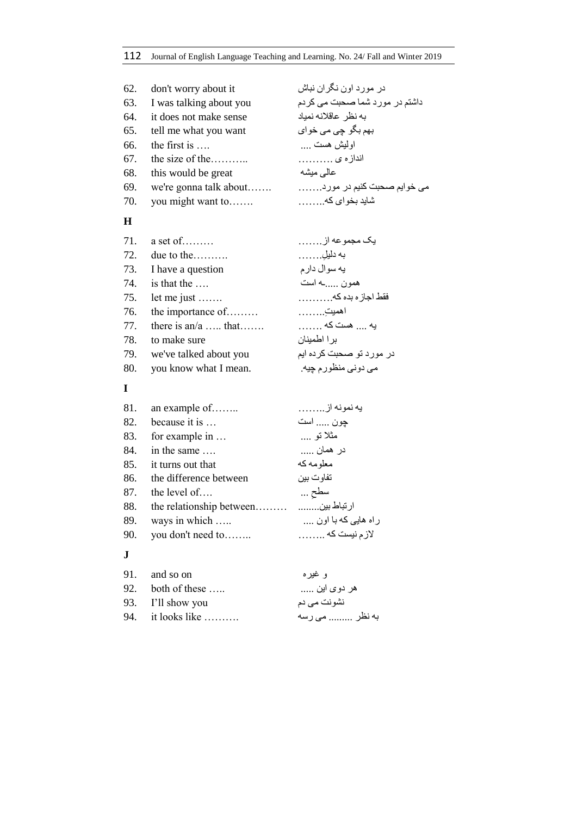| 62. | don't worry about it    | در مورد اون نگر ان نباش            |
|-----|-------------------------|------------------------------------|
| 63. | I was talking about you | داشتم در مورد شما صحبت می کردم     |
| 64. | it does not make sense  | به نظر عاقلانه نمياد               |
| 65. | tell me what you want   | بھم بگو چ <i>ی می</i> خوا <i>ی</i> |
| 66. | the first is            | او ليش هست                         |
| 67. | the size of the         | اندازه ی                           |
| 68. | this would be great     | عالى ميشه                          |
| 69. | we're gonna talk about  | می خوایم صحبت کنیم در مورد         |
| 70. | you might want to       | شايد بخواي كه                      |
|     |                         |                                    |

# **H**

| 71. | $a$ set of             | يک مجموعه از             |
|-----|------------------------|--------------------------|
| 72. | due to the             | به دليل                  |
|     | 73. I have a question  | يه سوال دارم             |
| 74. | is that the            | همون ـه است              |
| 75. | let me just $\dots$    | فقط اجازه بده كه         |
| 76. | the importance of      | اهميت ِ                  |
| 77. | there is an/a  that    | يه  هست كه               |
| 78. | to make sure           | بر ا اطمينان             |
| 79. | we've talked about you | در مورد تو صحبت کرده ایم |
| 80. | you know what I mean.  | مي دوني منظورم چيه       |

# **I**

| 81. | an example of          | يه نمونه از        |
|-----|------------------------|--------------------|
| 82. | because it is          | چون  است           |
| 83. | for example in         | مثلا تو ….         |
| 84. | in the same            | در همان            |
| 85. | it turns out that      | معلو مه که         |
| 86. | the difference between | تفاوت بين          |
| 87. | the level of $\dots$   | سطح …              |
| 88. |                        |                    |
| 89. | ways in which          | راه هایی که با اون |
| 90. | you don't need to      | لازم نیست که       |
|     |                        |                    |

### **J**

| 91. and so on              | و غير م        |
|----------------------------|----------------|
| 92. both of these $\dots$  | هر دوی این     |
| 93. I'll show you          | نشونت می دم    |
| 94. it looks like $\ldots$ | به نظر  می رسه |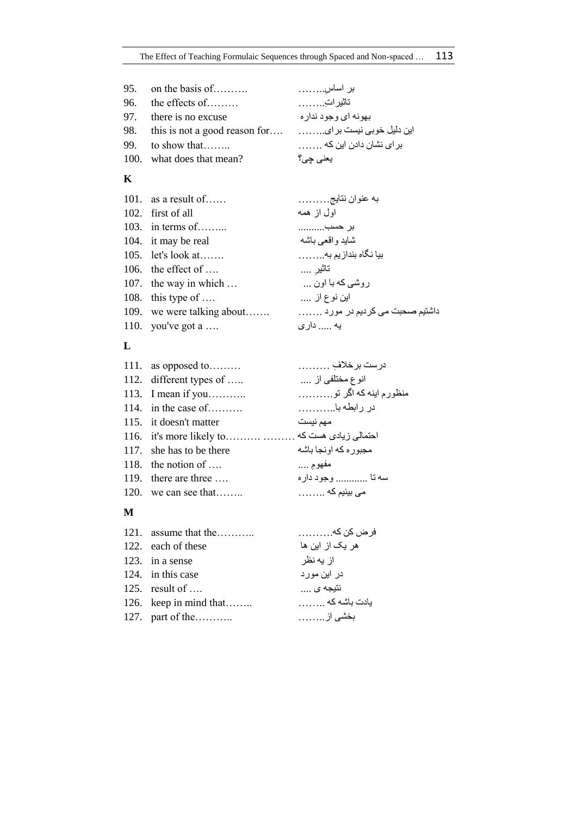| 95. on the basis of $\dots$ | بر اساس                |
|-----------------------------|------------------------|
| 96. the effects of          | تاثيراتِ               |
| 97. there is no excuse      | بهونه ای وجود ندار ه   |
|                             |                        |
| 99. to show that            | بر ای نشان دادن این که |
| 100. what does that mean?   | يعني چي؟               |

# **K**

| 101. as a result of        | به عنوان نتايج      |
|----------------------------|---------------------|
| 102. first of all          | اول از همه          |
| 103. in terms of           | بر حسب              |
| 104. it may be real        | شاید و اقعے باشه    |
| 105. let's look at         | بیا نگاه بندازیم به |
| 106. the effect of $\dots$ | تاثير ….            |
| 107. the way in which      | روشي که با اون      |
| 108. this type of $\dots$  | ابن نوع از          |
|                            |                     |
| 110. you've got a          | يه  دار <i>ی</i>    |
|                            |                     |

# **L**

| 111. as opposed to                               | درست برخلافِ               |
|--------------------------------------------------|----------------------------|
| 112. different types of                          | انوع مختلفي از             |
| 113. I mean if you                               | منظور م اینه که اگر تو………. |
| 114. in the case of                              | در رابطه با                |
| 115. it doesn't matter                           | مهم نيست                   |
| احتمالی زیادی هست که    116. it's more likely to |                            |
| 117. she has to be there                         | مجبوره كه اونجا باشه       |
| 118. the notion of $\dots$                       | مفهوم …                    |
| 119. there are three                             | سه تا  وجود داره           |
| 120. we can see that                             | می بینیم که                |
|                                                  |                            |

# **M**

| 121. assume that the   | فر ض کن که      |
|------------------------|-----------------|
| 122. each of these     | هر یک از این ها |
| 123. in a sense        | از يه نظر       |
| 124. in this case      | در این مورد     |
| 125. result of $\dots$ | نتيجه <i>ی</i>  |
| 126. keep in mind that | یادت باشه که    |
| 127. part of the       | بخشى از         |